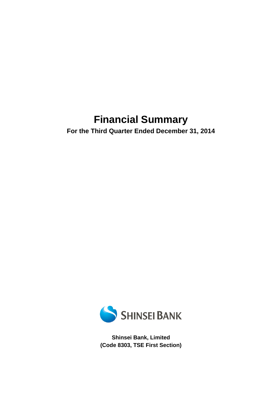# **Financial Summary**

**For the Third Quarter Ended December 31, 2014** 



**Shinsei Bank, Limited (Code 8303, TSE First Section)**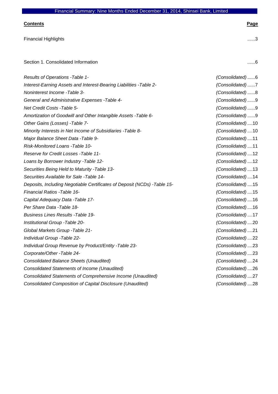# **Contents Page**  Financial Highlights .......3 Section 1. Consolidated Information ........ 6 *Results of Operations -Table 1- (Consolidated)* ...... 6 *Interest-Earning Assets and Interest-Bearing Liabilities -Table 2- (Consolidated)* ...... 7 *Noninterest Income -Table 3- (Consolidated)* ...... 8 *General and Administrative Expenses -Table 4- (Consolidated)* ...... 9

| Results of Operations - Table 1-                                         | (Consolidated)6   |
|--------------------------------------------------------------------------|-------------------|
| Interest-Earning Assets and Interest-Bearing Liabilities - Table 2-      | (Consolidated)7   |
| Noninterest Income - Table 3-                                            | (Consolidated)8   |
| General and Administrative Expenses - Table 4-                           | (Consolidated)9   |
| Net Credit Costs - Table 5-                                              | (Consolidated)9   |
| Amortization of Goodwill and Other Intangible Assets - Table 6-          | (Consolidated)9   |
| Other Gains (Losses) - Table 7-                                          | (Consolidated) 10 |
| Minority Interests in Net Income of Subsidiaries - Table 8-              | (Consolidated) 10 |
| Major Balance Sheet Data - Table 9-                                      | (Consolidated) 11 |
| Risk-Monitored Loans -Table 10-                                          | (Consolidated) 11 |
| Reserve for Credit Losses - Table 11-                                    | (Consolidated) 12 |
| Loans by Borrower Industry - Table 12-                                   | (Consolidated) 12 |
| Securities Being Held to Maturity - Table 13-                            | (Consolidated) 13 |
| Securities Available for Sale -Table 14-                                 | (Consolidated) 14 |
| Deposits, Including Negotiable Certificates of Deposit (NCDs) -Table 15- | (Consolidated) 15 |
| <b>Financial Ratios - Table 16-</b>                                      | (Consolidated)15  |
| Capital Adequacy Data - Table 17-                                        | (Consolidated) 16 |
| Per Share Data - Table 18-                                               | (Consolidated) 16 |
| <b>Business Lines Results - Table 19-</b>                                | (Consolidated) 17 |
| Institutional Group - Table 20-                                          | (Consolidated)20  |
| Global Markets Group - Table 21-                                         | (Consolidated)21  |
| Individual Group - Table 22-                                             | (Consolidated)22  |
| Individual Group Revenue by Product/Entity - Table 23-                   | (Consolidated)23  |
| Corporate/Other -Table 24-                                               | (Consolidated)23  |
| <b>Consolidated Balance Sheets (Unaudited)</b>                           | (Consolidated)24  |
| <b>Consolidated Statements of Income (Unaudited)</b>                     | (Consolidated)26  |
| Consolidated Statements of Comprehensive Income (Unaudited)              | (Consolidated)27  |
| Consolidated Composition of Capital Disclosure (Unaudited)               | (Consolidated)28  |
|                                                                          |                   |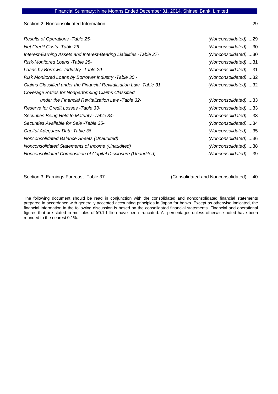Section 2. Nonconsolidated Information .... 29

| Results of Operations - Table 25-                                    | (Nonconsolidated)29 |
|----------------------------------------------------------------------|---------------------|
| <b>Net Credit Costs - Table 26-</b>                                  | (Nonconsolidated)30 |
| Interest-Earning Assets and Interest-Bearing Liabilities - Table 27- | (Nonconsolidated)30 |
| Risk-Monitored Loans -Table 28-                                      | (Nonconsolidated)31 |
| Loans by Borrower Industry - Table 29-                               | (Nonconsolidated)31 |
| Risk Monitored Loans by Borrower Industry - Table 30 -               | (Nonconsolidated)32 |
| Claims Classified under the Financial Revitalization Law -Table 31-  | (Nonconsolidated)32 |
| Coverage Ratios for Nonperforming Claims Classified                  |                     |
| under the Financial Revitalization Law -Table 32-                    | (Nonconsolidated)33 |
| Reserve for Credit Losses - Table 33-                                | (Nonconsolidated)33 |
| Securities Being Held to Maturity - Table 34-                        | (Nonconsolidated)33 |
| Securities Available for Sale - Table 35-                            | (Nonconsolidated)34 |
| Capital Adequacy Data-Table 36-                                      | (Nonconsolidated)35 |
| Nonconsolidated Balance Sheets (Unaudited)                           | (Nonconsolidated)36 |
| Nonconsolidated Statements of Income (Unaudited)                     | (Nonconsolidated)38 |
| Nonconsolidated Composition of Capital Disclosure (Unaudited)        | (Nonconsolidated)39 |
|                                                                      |                     |

Section 3. Earnings Forecast -Table 37- (Consolidated and Nonconsolidated) .... 40

The following document should be read in conjunction with the consolidated and nonconsolidated financial statements prepared in accordance with generally accepted accounting principles in Japan for banks. Except as otherwise indicated, the financial information in the following discussion is based on the consolidated financial statements. Financial and operational figures that are stated in multiples of ¥0.1 billion have been truncated. All percentages unless otherwise noted have been rounded to the nearest 0.1%.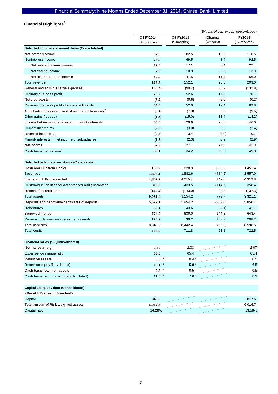## **Financial Highlights**  1

|                                                                   |                         | (Billions of yen, except percentages) |                    |                         |
|-------------------------------------------------------------------|-------------------------|---------------------------------------|--------------------|-------------------------|
|                                                                   | Q3 FY2014<br>(9 months) | Q3 FY2013<br>$(9$ months)             | Change<br>(Amount) | FY2013<br>$(12$ months) |
| Selected income statement items (Consolidated)                    |                         |                                       |                    |                         |
| Net interest income                                               | 97.6                    | 82.5                                  | 15.0               | 110.5                   |
| Noninterest income                                                | 78.0                    | 69.5                                  | 8.4                | 92.5                    |
| Net fees and commissions                                          | 17.5                    | 17.1                                  | 0.4                | 22.4                    |
| Net trading income                                                | 7.5                     | 10.9                                  | (3.3)              | 13.9                    |
| Net other business income                                         | 52.9                    | 41.5                                  | 11.4               | 56.0                    |
| Total revenue                                                     | 175.6                   | 152.1                                 | 23.5               | 203.0                   |
| General and administrative expenses                               | (105.4)                 | (99.4)                                | (5.9)              | (132.8)                 |
| Ordinary business profit                                          | 70.2                    | 52.6                                  | 17.5               | 70.1                    |
| Net credit costs                                                  | (5.7)                   | (0.6)                                 | (5.0)              | (0.2)                   |
| Ordinary business profit after net credit costs                   | 64.5                    | 52.0                                  | 12.4               | 69.8                    |
| Amortization of goodwill and other intangible assets <sup>2</sup> | (6.4)                   | (7.3)                                 | 0.8                | (9.6)                   |
| Other gains (losses)                                              | (1.5)                   | (15.0)                                | 13.4               | (14.2)                  |
| Income before income taxes and minority interests                 | 56.5                    | 29.6                                  | 26.8               | 46.0                    |
| Current income tax                                                | (2.0)                   | (3.0)                                 | 0.9                | (2.4)                   |
| Deferred income tax                                               | (0.6)                   | 3.4                                   | (4.0)              | 0.7                     |
| Minority interests in net income of subsidiaries                  | (1.3)                   | (2.3)                                 | 0.9                | (2.9)                   |
| Net income                                                        | 52.3                    | 27.7                                  | 24.6               | 41.3                    |
| Cash basis net income <sup>3</sup>                                | 58.1                    | 34.2                                  | 23.9               | 49.8                    |
|                                                                   |                         |                                       |                    |                         |
| Selected balance sheet items (Consolidated)                       |                         |                                       |                    |                         |
| Cash and Due from Banks                                           | 1,138.2                 | 828.9                                 | 309.3              | 1,451.4                 |
| <b>Securities</b>                                                 | 1,398.1                 | 1,882.6                               | (484.5)            | 1,557.0                 |
| Loans and bills discounted                                        | 4,357.7                 | 4,215.4                               | 142.3              | 4,319.8                 |
| Customers' liabilities for acceptances and guarantees             | 318.8                   | 433.5                                 | (114.7)            | 358.4                   |
| Reserve for credit losses                                         | (110.7)                 | (143.0)                               | 32.3               | (137.3)                 |
| Total assets                                                      | 9,081.4                 | 9,154.2                               | (72.7)             | 9,321.1                 |
| Deposits and negotiable certificates of deposit                   | 5,622.1                 | 5,954.2                               | (332.0)            | 5,850.4                 |
| <b>Debentures</b>                                                 | 35.4                    | 43.6                                  | (8.1)              | 41.7                    |
| Borrowed money                                                    | 774.9                   | 630.0                                 | 144.8              | 643.4                   |
| Reserve for losses on interest repayments                         | 176.9                   | 39.2                                  | 137.7              | 208.2                   |
| <b>Total liabilities</b>                                          | 8,346.5                 | 8,442.4                               | (95.9)             | 8,598.5                 |
| <b>Total equity</b>                                               | 734.9                   | 711.8                                 | 23.1               | 722.5                   |
| Financial ratios (%) (Consolidated)                               |                         |                                       |                    |                         |
| Net interest margin                                               | 2.42                    | 2.03                                  |                    | 2.07                    |
| Expense-to-revenue ratio                                          | 60.0                    | 65.4                                  |                    | 65.4                    |
| Return on assets                                                  | 0.8 <sup>4</sup>        | 0.4 <sup>4</sup>                      |                    | 0.5                     |
| Return on equity (fully diluted)                                  | 10.1 <sup>4</sup>       | 5.8 <sup>4</sup>                      |                    | 6.5                     |
| Cash basis return on assets                                       | $0.8-4$                 | 0.5 <sup>4</sup>                      |                    | 0.5                     |
| Cash basis return on equity (fully diluted)                       | 11.8 <sup>4</sup>       | 7.6 <sup>4</sup>                      |                    | 8.3                     |
|                                                                   |                         |                                       |                    |                         |
| Capital adequacy data (Consolidated)                              |                         |                                       |                    |                         |
| <basel 3,="" domestic="" standard=""></basel>                     |                         |                                       |                    |                         |
| Capital                                                           | 840.6                   |                                       |                    | 817.6                   |
| Total amount of Risk-weighted assets                              | 5,917.6                 |                                       |                    | 6,016.7                 |

Capital ratio **14.20%** 13.58%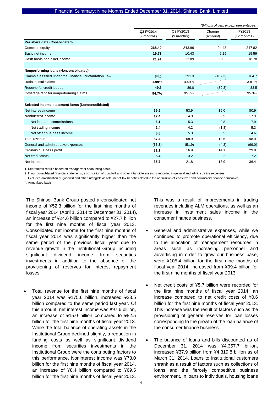|                                                          |                         |                           | (Billions of yen, except percentages) |                         |
|----------------------------------------------------------|-------------------------|---------------------------|---------------------------------------|-------------------------|
|                                                          | Q3 FY2014<br>(9 months) | Q3 FY2013<br>$(9$ months) | Change<br>(Amount)                    | FY2013<br>$(12$ months) |
| Per share data (Consolidated)                            |                         |                           |                                       |                         |
| Common equity                                            | 268.40                  | 243.96                    | 24.43                                 | 247.82                  |
| Basic net income                                         | 19.73                   | 10.43                     | 9.29                                  | 15.59                   |
| Cash basis basic net income                              | 21.91                   | 12.89                     | 9.02                                  | 18.78                   |
| Nonperforming loans (Nonconsolidated)                    |                         |                           |                                       |                         |
| Claims classified under the Financial Revitalization Law | 84.0                    | 191.3                     | (107.3)                               | 164.7                   |
| Ratio to total claims                                    | 1.99%                   | 4.49%                     |                                       | 3.81%                   |
| Reserve for credit losses                                | 49.6                    | 89.0                      | (39.3)                                | 83.5                    |
| Coverage ratio for nonperforming claims                  | 94.7%                   | 95.7%                     |                                       | 95.3%                   |
|                                                          |                         |                           |                                       |                         |
| Selected income statement items (Nonconsolidated)        |                         |                           |                                       |                         |
| Net interest income                                      | 69.9                    | 53.9                      | 16.0                                  | 80.9                    |
| Noninterest income                                       | 17.4                    | 14.9                      | 2.5                                   | 17.9                    |
| Net fees and commissions                                 | 6.1                     | 5.3                       | 0.8                                   | 7.9                     |
| Net trading income                                       | 2.4                     | 4.2                       | (1.8)                                 | 5.3                     |
| Net other business income                                | 8.8                     | 5.3                       | 3.5                                   | 4.6                     |
| Total revenue                                            | 87.4                    | 68.9                      | 18.5                                  | 98.9                    |
| General and administrative expenses                      | (56.3)                  | (51.9)                    | (4.3)                                 | (69.0)                  |
| Ordinary business profit                                 | 31.1                    | 16.9                      | 14.1                                  | 29.8                    |
| Net credit costs                                         | 5.4                     | 3.2                       | 2.2                                   | 7.2                     |
| Net income                                               | 35.7                    | 21.8                      | 13.9                                  | 36.4                    |

1. Represents results based on management accounting basis.

2. In our consolidated financial statements, amortization of goodw ill and other intangible assets is recorded in general and administrative expenses.

3. Excludes amortization of goodw ill and other intangible assets, net of tax benefit, related to the acquisition of consumer and commercial finance companies.

4. Annualized basis.

The Shinsei Bank Group posted a consolidated net income of ¥52.3 billion for the first nine months of fiscal year 2014 (April 1, 2014 to December 31, 2014), an increase of ¥24.6 billion compared to ¥27.7 billion for the first nine months of fiscal year 2013. Consolidated net income for the first nine months of fiscal year 2014 was significantly higher than the same period of the previous fiscal year due to revenue growth in the Institutional Group including significant dividend income from securities investments in addition to the absence of the provisioning of reserves for interest repayment losses.

 Total revenue for the first nine months of fiscal year 2014 was ¥175.6 billion, increased ¥23.5 billion compared to the same period last year. Of this amount, net interest income was ¥97.6 billion, an increase of ¥15.0 billion compared to ¥82.5 billion for the first nine months of fiscal year 2013. While the total balance of operating assets in the Institutional Group declined slightly, a reduction in funding costs as well as significant dividend income from securities investments in the Institutional Group were the contributing factors to this performance. Noninterest income was ¥78.0 billion for the first nine months of fiscal year 2014, an increase of ¥8.4 billion compared to ¥69.5 billion for the first nine months of fiscal year 2013.

This was a result of improvements in trading revenues including ALM operations, as well as an increase in installment sales income in the consumer finance business.

- General and administrative expenses, while we continued to promote operational efficiency, due to the allocation of management resources in areas such as increasing personnel and advertising in order to grow our business base, were ¥105.4 billion for the first nine months of fiscal year 2014, increased from ¥99.4 billion for the first nine months of fiscal year 2013.
- Net credit costs of ¥5.7 billion were recorded for the first nine months of fiscal year 2014, an increase compared to net credit costs of ¥0.6 billion for the first nine months of fiscal year 2013. This increase was the result of factors such as the provisioning of general reserves for loan losses corresponding to the growth of the loan balance of the consumer finance business.
- The balance of loans and bills discounted as of December 31, 2014 was ¥4,357.7 billion, increased ¥37.9 billion from ¥4,319.8 billion as of March 31, 2014. Loans to institutional customers shrank as a result of factors such as collections of loans and the fiercely competitive business environment. In loans to individuals, housing loans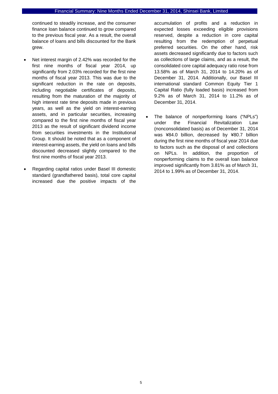continued to steadily increase, and the consumer finance loan balance continued to grow compared to the previous fiscal year. As a result, the overall balance of loans and bills discounted for the Bank grew.

- Net interest margin of 2.42% was recorded for the first nine months of fiscal year 2014, up significantly from 2.03% recorded for the first nine months of fiscal year 2013. This was due to the significant reduction in the rate on deposits, including negotiable certificates of deposits, resulting from the maturation of the majority of high interest rate time deposits made in previous years, as well as the yield on interest-earning assets, and in particular securities, increasing compared to the first nine months of fiscal year 2013 as the result of significant dividend income from securities investments in the Institutional Group. It should be noted that as a component of interest-earning assets, the yield on loans and bills discounted decreased slightly compared to the first nine months of fiscal year 2013.
- Regarding capital ratios under Basel III domestic standard (grandfathered basis), total core capital increased due the positive impacts of the

accumulation of profits and a reduction in expected losses exceeding eligible provisions reserved, despite a reduction in core capital resulting from the redemption of perpetual preferred securities. On the other hand, risk assets decreased significantly due to factors such as collections of large claims, and as a result, the consolidated core capital adequacy ratio rose from 13.58% as of March 31, 2014 to 14.20% as of December 31, 2014. Additionally, our Basel III international standard Common Equity Tier 1 Capital Ratio (fully loaded basis) increased from 9.2% as of March 31, 2014 to 11.2% as of December 31, 2014.

 The balance of nonperforming loans ("NPLs") under the Financial Revitalization Law (nonconsolidated basis) as of December 31, 2014 was ¥84.0 billion, decreased by ¥80.7 billion during the first nine months of fiscal year 2014 due to factors such as the disposal of and collections on NPLs. In addition, the proportion of nonperforming claims to the overall loan balance improved significantly from 3.81% as of March 31, 2014 to 1.99% as of December 31, 2014.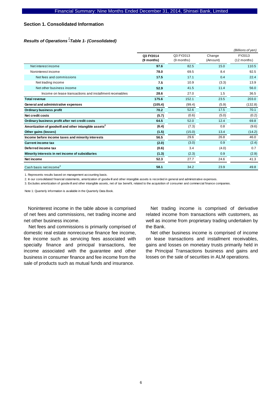## **Section 1. Consolidated Information**

## *Results of Operations -Table 1- (Consolidated) 1*

|                                                                   |                         |                         |                    | (Billions of yen)       |
|-------------------------------------------------------------------|-------------------------|-------------------------|--------------------|-------------------------|
|                                                                   | Q3 FY2014<br>(9 months) | Q3 FY2013<br>(9 months) | Change<br>(Amount) | FY2013<br>$(12$ months) |
| Net interest income                                               | 97.6                    | 82.5                    | 15.0               | 110.5                   |
| Noninterest income                                                | 78.0                    | 69.5                    | 8.4                | 92.5                    |
| Net fees and commissions                                          | 17.5                    | 17.1                    | 0.4                | 22.4                    |
| Net trading income                                                | 7.5                     | 10.9                    | (3.3)              | 13.9                    |
| Net other business income                                         | 52.9                    | 41.5                    | 11.4               | 56.0                    |
| Income on lease transactions and installment receivables          | 28.6                    | 27.0                    | 1.5                | 36.5                    |
| <b>Total revenue</b>                                              | 175.6                   | 152.1                   | 23.5               | 203.0                   |
| General and administrative expenses                               | (105.4)                 | (99.4)                  | (5.9)              | (132.8)                 |
| Ordinary business profit                                          | 70.2                    | 52.6                    | 17.5               | 70.1                    |
| Net credit costs                                                  | (5.7)                   | (0.6)                   | (5.0)              | (0.2)                   |
| Ordinary business profit after net credit costs                   | 64.5                    | 52.0                    | 12.4               | 69.8                    |
| Amortization of goodwill and other intangible assets <sup>2</sup> | (6.4)                   | (7.3)                   | 0.8                | (9.6)                   |
| Other gains (losses)                                              | (1.5)                   | (15.0)                  | 13.4               | (14.2)                  |
| Income before income taxes and minority interests                 | 56.5                    | 29.6                    | 26.8               | 46.0                    |
| <b>Current income tax</b>                                         | (2.0)                   | (3.0)                   | 0.9                | (2.4)                   |
| Deferred income tax                                               | (0.6)                   | 3.4                     | (4.0)              | 0.7                     |
| Minority interests in net income of subsidiaries                  | (1.3)                   | (2.3)                   | 0.9                | (2.9)                   |
| Net income                                                        | 52.3                    | 27.7                    | 24.6               | 41.3                    |
| Cash basis net income <sup>3</sup>                                | 58.1                    | 34.2                    | 23.9               | 49.8                    |

1. Represents results based on management accounting basis.

2. In our consolidated financial statements, amortization of goodw ill and other intangible assets is recorded in general and administrative expenses.

3. Excludes amortization of goodw ill and other intangible assets, net of tax benefit, related to the acquisition of consumer and commercial finance companies.

Note 1: Quarterly information is available in the Quarterly Data Book.

Noninterest income in the table above is comprised of net fees and commissions, net trading income and net other business income.

Net fees and commissions is primarily comprised of domestic real estate nonrecourse finance fee income, fee income such as servicing fees associated with specialty finance and principal transactions, fee income associated with the guarantee and other business in consumer finance and fee income from the sale of products such as mutual funds and insurance.

Net trading income is comprised of derivative related income from transactions with customers, as well as income from proprietary trading undertaken by the Bank.

Net other business income is comprised of income on lease transactions and installment receivables, gains and losses on monetary trusts primarily held in the Principal Transactions business and gains and losses on the sale of securities in ALM operations.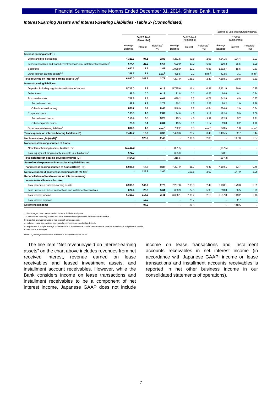#### *Interest-Earning Assets and Interest-Bearing Liabilities -Table 2- (Consolidated)*

|                                                                                       |                    |                         |                                 |                         |                          |                                 |                       |          | (Billions of yen, except percentages) |
|---------------------------------------------------------------------------------------|--------------------|-------------------------|---------------------------------|-------------------------|--------------------------|---------------------------------|-----------------------|----------|---------------------------------------|
|                                                                                       |                    | Q3 FY2014<br>(9 months) |                                 | Q3 FY2013<br>(9 months) |                          |                                 | FY2013<br>(12 months) |          |                                       |
|                                                                                       | Average<br>Balance | Interest                | Yield/rate <sup>1</sup><br>(% ) | Average<br>Balance      | Interest                 | Yield/rate <sup>1</sup><br>(% ) | Average<br>Balance    | Interest | Yield/rate <sup>1</sup><br>(% )       |
| Interest-earning assets <sup>4</sup> :                                                |                    |                         |                                 |                         |                          |                                 |                       |          |                                       |
| Loans and bills discounted                                                            | 4,326.6            | 94.1                    | 2.89                            | 4,251.5                 | 93.8                     | 2.93                            | 4,241.5               | 124.4    | 2.93                                  |
| Lease receivables and leased investment assets / installment receivables <sup>4</sup> | 674.4              | 28.6                    | 5.64                            | 600.9                   | 27.0                     | 5.98                            | 610.3                 | 36.5     | 5.99                                  |
| Securities                                                                            | 1,640.2            | 18.2                    | 1.48                            | 1,928.9                 | 12.1                     | 0.83                            | 1,892.7               | 15.6     | 0.83                                  |
| Other interest-earning assets <sup>2, 3</sup>                                         | 348.7              | 2.1                     | n.m. <sup>6</sup>               | 425.5                   | 2.2                      | n.m. <sup>6</sup>               | 423.5                 | 3.1      | n.m. <sup>6</sup>                     |
| Total revenue on interest-earning assets (A) <sup>4</sup>                             | 6,990.0            | 143.2                   | 2.72                            | 7,207.0                 | 135.3                    | 2.49                            | 7,168.1               | 179.8    | 2.51                                  |
| Interest-bearing liabilities:                                                         |                    |                         |                                 |                         |                          |                                 |                       |          |                                       |
| Deposits, including negotiable certificates of deposit                                | 5,715.0            | 8.3                     | 0.19                            | 5,785.6                 | 16.4                     | 0.38                            | 5,821.9               | 20.6     | 0.35                                  |
| <b>Debentures</b>                                                                     | 39.0               | 0.0                     | 0.13                            | 71.8                    | 0.1                      | 0.26                            | 64.6                  | 0.1      | 0.24                                  |
| Borrowed money                                                                        | 702.6              | 3.5                     | 0.67                            | 639.2                   | 3.7                      | 0.78                            | 642.9                 | 4.9      | 0.77                                  |
| Subordinated debt                                                                     | 62.8               | 1.3                     | 2.76                            | 90.2                    | 1.5                      | 2.23                            | 88.2                  | 1.9      | 2.26                                  |
| Other borrowed money                                                                  | 639.7              | 2.2                     | 0.46                            | 548.9                   | 2.2                      | 0.54                            | 554.6                 | 2.9      | 0.54                                  |
| Corporate bonds                                                                       | 185.3              | 4.0                     | 2.89                            | 194.8                   | 4.5                      | 3.11                            | 192.4                 | 5.9      | 3.09                                  |
| Subordinated bonds                                                                    | 156.4              | 3.8                     | 3.28                            | 175.3                   | 4.3                      | 3.32                            | 172.5                 | 5.7      | 3.31                                  |
| Other corporate bonds                                                                 | 28.8               | 0.1                     | 0.81                            | 19.5                    | 0.1                      | 1.17                            | 19.8                  | 0.2      | 1.12                                  |
| Other interest-bearing liabilities <sup>2</sup>                                       | 802.6              | $1.0$                   | n.m. <sup>6</sup>               | 732.2                   | 0.8                      | n.m. <sup>6</sup>               | 743.5                 | 1.0      | n.m. <sup>6</sup>                     |
| Total expense on interest-bearing liabilities (B)                                     | 7,444.7            | 16.9                    | 0.30                            | 7,423.6                 | 25.7                     | 0.46                            | 7,465.5               | 32.7     | 0.44                                  |
| Net interest margin (A)-(B) <sup>4</sup>                                              | ä,                 | 126.2                   | 2.42                            | ä,                      | 109.6                    | 2.03                            | ÷.                    | 147.0    | 2.07                                  |
| Noninterest-bearing sources of funds:                                                 |                    |                         |                                 |                         |                          |                                 |                       |          |                                       |
| Noninterest-bearing (assets) liabilities, net                                         | (1, 125.6)         |                         | $\blacksquare$                  | (851.5)                 |                          | ä,                              | (937.5)               |          |                                       |
| Total equity excluding minority interests in subsidiaries <sup>5</sup>                | 671.0              |                         | ×,                              | 635.0                   | ٠                        | ×                               | 640.1                 |          | ×                                     |
| Total noninterest-bearing sources of funds (C)                                        | (454.6)            | $\blacksquare$          | $\blacksquare$                  | (216.5)                 | $\overline{\phantom{a}}$ | ×,                              | (297.3)               |          | $\sim$                                |
| Sum of total expense on interest-bearing liabilities and                              |                    |                         |                                 |                         |                          |                                 |                       |          |                                       |
| noninterest-bearing sources of funds (D)=(B)+(C)                                      | 6,990.0            | 16.9                    | 0.32                            | 7,207.0                 | 25.7                     | 0.47                            | 7,168.1               | 32.7     | 0.46                                  |
| Net revenue/yield on interest-earning assets (A)-(D) <sup>4</sup>                     | $\blacksquare$     | 126.2                   | 2.40                            |                         | 109.6                    | 2.02                            |                       | 147.0    | 2.05                                  |
| Reconciliation of total revenue on interest-earning                                   |                    |                         |                                 |                         |                          |                                 |                       |          |                                       |
| assets to total interest income:                                                      |                    |                         |                                 |                         |                          |                                 |                       |          |                                       |
| Total revenue on interest-earning assets                                              | 6,990.0            | 143.2                   | 2.72                            | 7,207.0                 | 135.3                    | 2.49                            | 7,168.1               | 179.8    | 2.51                                  |
| Less: Income on lease transactions and installment receivables                        | 674.4              | 28.6                    | 5.64                            | 600.9                   | 27.0                     | 5.98                            | 610.3                 | 36.5     | 5.99                                  |
| Total interest income                                                                 | 6,315.6            | 114.5                   | 2.41                            | 6,606.1                 | 108.2                    | 2.18                            | 6,557.8               | 143.2    | 2.18                                  |
| Total interest expense                                                                | ٠                  | 16.9                    | $\blacksquare$                  | ÷                       | 25.7                     | ×,                              | ٠                     | 32.7     | ×                                     |
| Net interest income                                                                   | $\blacksquare$     | 97.6                    | $\blacksquare$                  | ä,                      | 82.5                     | ä,                              | ä,                    | 110.5    |                                       |

1. Percentages have been rounded from the thrid decimal place. 2. Other interest-earning assets and other interest-bearing liabilities include interest swaps.

3. Excludes average balance of non interest-earning assets. 4. Includes lease transactions and installment receivables and related yields.

5. Represents a simple average of the balance at the end of the current period and the balance at the end of the previous period.

6. n.m. is not meaningful.

Note 1: Quarterly information is available in the Quarterly Data Book.

The line item "Net revenue/yield on interest-earning assets" on the chart above includes revenues from net received interest, revenue earned on lease receivables and leased investment assets, and installment account receivables. However, while the Bank considers income on lease transactions and installment receivables to be a component of net interest income, Japanese GAAP does not include

income on lease transactions and installment accounts receivables in net interest income (in accordance with Japanese GAAP, income on lease transactions and installment accounts receivables is reported in net other business income in our consolidated statements of operations).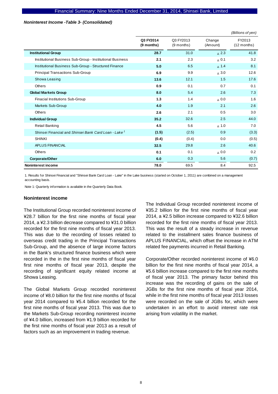#### *Noninterest Income -Table 3- (Consolidated)*

|                                                                  |                         |                         |                    | (Billions of yen)       |
|------------------------------------------------------------------|-------------------------|-------------------------|--------------------|-------------------------|
|                                                                  | Q3 FY2014<br>(9 months) | Q3 FY2013<br>(9 months) | Change<br>(Amount) | FY2013<br>$(12$ months) |
| <b>Institutional Group</b>                                       | 28.7                    | 31.0                    | $\triangle$ 2.3    | 41.8                    |
| Institutional Business Sub-Group - Institutional Business        | 2.1                     | 2.3                     | $\triangle$ 0.1    | 3.2                     |
| Institutional Business Sub-Group - Structured Finance            | 5.0                     | 6.5                     | $\triangle$ 1.4    | 8.1                     |
| <b>Principal Transactions Sub-Group</b>                          | 6.9                     | 9.9                     | $\Delta$ 3.0       | 12.6                    |
| Showa Leasing                                                    | 13.6                    | 12.1                    | 1.5                | 17.6                    |
| Others                                                           | 0.9                     | 0.1                     | 0.7                | 0.1                     |
| <b>Global Markets Group</b>                                      | 8.0                     | 5.4                     | 2.6                | 7.3                     |
| <b>Finacial Institutions Sub-Group</b>                           | 1.3                     | 1.4                     | $\Delta$ 0.0       | 1.6                     |
| Markets Sub-Group                                                | 4.0                     | 1.9                     | 2.1                | 2.6                     |
| <b>Others</b>                                                    | 2.6                     | 2.1                     | 0.5                | 3.0                     |
| <b>Individual Group</b>                                          | 35.2                    | 32.6                    | 2.5                | 44.0                    |
| <b>Retail Banking</b>                                            | 4.5                     | 5.6                     | $\triangle$ 1.0    | 7.0                     |
| Shinsei Financial and Shinsei Bank Card Loan - Lake <sup>1</sup> | (1.5)                   | (2.5)                   | 0.9                | (3.3)                   |
| <b>SHINKI</b>                                                    | (0.4)                   | (0.4)                   | 0.0                | (0.5)                   |
| <b>APLUS FINANCIAL</b>                                           | 32.5                    | 29.8                    | 2.6                | 40.6                    |
| Others                                                           | 0.1                     | 0.1                     | $0.0\Delta$        | 0.2                     |
| Corporate/Other                                                  | 6.0                     | 0.3                     | 5.6                | (0.7)                   |
| Noninterest income                                               | 78.0                    | 69.5                    | 8.4                | 92.5                    |

1. Results for Shinsei Financial and "Shinsei Bank Card Loan - Lake" in the Lake business (started on October 1, 2011) are combined on a management accounting basis.

Note 1: Quarterly information is available in the Quarterly Data Book.

#### **Noninterest income**

The Institutional Group recorded noninterest income of ¥28.7 billion for the first nine months of fiscal year 2014, a ¥2.3 billion decrease compared to ¥31.0 billion recorded for the first nine months of fiscal year 2013. This was due to the recording of losses related to overseas credit trading in the Principal Transactions Sub-Group, and the absence of large income factors in the Bank's structured finance business which were recorded in the in the first nine months of fiscal year first nine months of fiscal year 2013, despite the recording of significant equity related income at Showa Leasing.

The Global Markets Group recorded noninterest income of ¥8.0 billion for the first nine months of fiscal year 2014 compared to ¥5.4 billion recorded for the first nine months of fiscal year 2013. This was due to the Markets Sub-Group recording noninterest income of ¥4.0 billion, increased from ¥1.9 billion recorded for the first nine months of fiscal year 2013 as a result of factors such as an improvement in trading revenue.

The Individual Group recorded noninterest income of ¥35.2 billion for the first nine months of fiscal year 2014, a ¥2.5 billion increase compared to ¥32.6 billion recorded for the first nine months of fiscal year 2013. This was the result of a steady increase in revenue related to the installment sales finance business of APLUS FINANCIAL, which offset the increase in ATM related fee payments incurred in Retail Banking.

Corporate/Other recorded noninterest income of ¥6.0 billion for the first nine months of fiscal year 2014, a ¥5.6 billion increase compared to the first nine months of fiscal year 2013. The primary factor behind this increase was the recording of gains on the sale of JGBs for the first nine months of fiscal year 2014, while in the first nine months of fiscal year 2013 losses were recorded on the sale of JGBs for, which were undertaken in an effort to avoid interest rate risk arising from volatility in the market.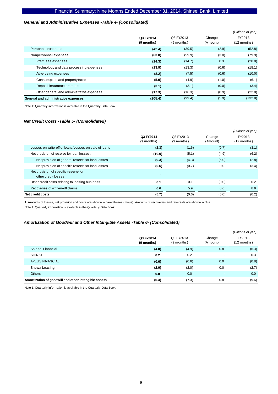#### *General and Administrative Expenses -Table 4- (Consolidated)*

|                                           |                         |                           |                    | (Billions of yen)       |
|-------------------------------------------|-------------------------|---------------------------|--------------------|-------------------------|
|                                           | Q3 FY2014<br>(9 months) | Q3 FY2013<br>$(9$ months) | Change<br>(Amount) | FY2013<br>$(12$ months) |
| Personnel expenses                        | (42.4)                  | (39.5)                    | (2.9)              | (52.8)                  |
| Nonpersonnel expenses                     | (63.0)                  | (59.9)                    | (3.0)              | (79.9)                  |
| Premises expenses                         | (14.3)                  | (14.7)                    | 0.3                | (20.0)                  |
| Technology and data processing expenses   | (13.9)                  | (13.3)                    | (0.6)              | (18.1)                  |
| Advertising expenses                      | (8.2)                   | (7.5)                     | (0.6)              | (10.0)                  |
| Consumption and property taxes            | (5.9)                   | (4.9)                     | (1.0)              | (6.1)                   |
| Deposit insurance premium                 | (3.1)                   | (3.1)                     | (0.0)              | (3.4)                   |
| Other general and administrative expenses | (17.3)                  | (16.3)                    | (0.9)              | (22.0)                  |
| General and administrative expenses       | (105.4)                 | (99.4)                    | (5.9)              | (132.8)                 |

Note 1: Quarterly information is available in the Quarterly Data Book.

#### *Net Credit Costs -Table 5- (Consolidated)*

|                                                              |                         |                           |                    | (Billions of yen)     |
|--------------------------------------------------------------|-------------------------|---------------------------|--------------------|-----------------------|
|                                                              | Q3 FY2014<br>(9 months) | Q3 FY2013<br>$(9$ months) | Change<br>(Amount) | FY2013<br>(12 months) |
| Losses on write-off of loans/Losses on sale of loans         | (2.3)                   | (1.6)                     | (0.7)              | (3.1)                 |
| Net provision of reserve for loan losses:                    | (10.0)                  | (5.1)                     | (4.9)              | (6.2)                 |
| Net provision of general reserve for loan losses             | (9.3)                   | (4.3)                     | (5.0)              | (2.8)                 |
| Net provision of specific reserve for loan losses            | (0.6)                   | (0.7)                     | 0.0                | (3.4)                 |
| Net provision of specific reserve for<br>other credit losses |                         |                           |                    |                       |
| Other credit costs relating to leasing business              | 0.1                     | 0.1                       | (0.0)              | 0.2                   |
| Recoveries of written-off claims                             | 6.6                     | 5.9                       | 0.6                | 8.9                   |
| Net credit costs                                             | (5.7)                   | (0.6)                     | (5.0)              | (0.2)                 |

1. Amounts of losses, net provision and costs are show n in parentheses (minus). Amounts of recoveries and reversals are show n in plus. Note 1: Quarterly information is available in the Quarterly Data Book.

# *Amortization of Goodwill and Other Intangible Assets -Table 6- (Consolidated)*

|                                                      |                         |                         |                    | (Billions of yen)       |
|------------------------------------------------------|-------------------------|-------------------------|--------------------|-------------------------|
|                                                      | Q3 FY2014<br>(9 months) | Q3 FY2013<br>(9 months) | Change<br>(Amount) | FY2013<br>$(12$ months) |
| Shinsei Financial                                    | (4.0)                   | (4.9)                   | 0.8                | (6.3)                   |
| <b>SHINKI</b>                                        | 0.2                     | 0.2                     |                    | 0.3                     |
| APLUS FINANCIAL                                      | (0.6)                   | (0.6)                   | 0.0                | (0.8)                   |
| Showa Leasing                                        | (2.0)                   | (2.0)                   | 0.0                | (2.7)                   |
| <b>Others</b>                                        | 0.0                     | 0.0                     |                    | 0.0                     |
| Amortization of goodwill and other intangible assets | (6.4)                   | (7.3)                   | 0.8                | (9.6)                   |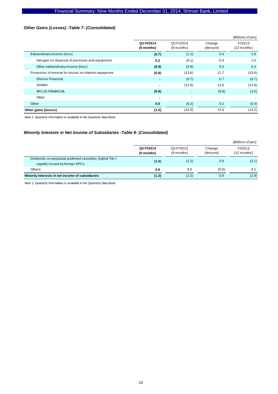## *Other Gains (Losses) -Table 7- (Consolidated)*

|                                                        |                         |                           |                          | (Billions of yen)       |
|--------------------------------------------------------|-------------------------|---------------------------|--------------------------|-------------------------|
|                                                        | Q3 FY2014<br>(9 months) | Q3 FY2013<br>$(9$ months) | Change<br>(Amount)       | FY2013<br>$(12$ months) |
| Extraordinary income (loss)                            | (0.7)                   | (1.1)                     | 0.4                      | 1.8                     |
| Net gain on disposal of premises and equipment         | 0.2                     | (0.1)                     | 0.3                      | 1.4                     |
| Other extraordinary income (loss)                      | (0.9)                   | (0.9)                     | 0.0                      | 0.4                     |
| Provisions of reserve for losses on interest repayment | (0.8)                   | (13.6)                    | 12.7                     | (15.6)                  |
| Shinsei Financial                                      |                         | (0.7)                     | 0.7                      | (0.7)                   |
| <b>SHINKI</b>                                          |                         | (12.8)                    | 12.8                     | (12.8)                  |
| APLUS FINANCIAL                                        | (0.8)                   | $\overline{\phantom{a}}$  | (0.8)                    | (2.0)                   |
| Other                                                  | $\blacksquare$          | $\overline{\phantom{a}}$  | $\overline{\phantom{a}}$ |                         |
| Other                                                  | 0.0                     | (0.2)                     | 0.2                      | (0.4)                   |
| Other gains (losses)                                   | (1.5)                   | (15.0)                    | 13.4                     | (14.2)                  |

Note 1: Quarterly information is available in the Quarterly Data Book.

## *Minority Interests in Net Income of Subsidiaries -Table 8- (Consolidated)*

|                                                                                               |                         |                           |                    | (Billions of yen)     |
|-----------------------------------------------------------------------------------------------|-------------------------|---------------------------|--------------------|-----------------------|
|                                                                                               | Q3 FY2014<br>(9 months) | Q3 FY2013<br>$(9$ months) | Change<br>(Amount) | FY2013<br>(12 months) |
| Dividends on perpetual preferred securities (hybrid Tier I<br>capital) issued by foreign SPCs | (1.4)                   | (2.3)                     | 0.9                | (3.1)                 |
| Others                                                                                        | 0.0                     | 0.0                       | (0.0)              | 0.1                   |
| Minority interests in net income of subsidiaries                                              | (1.3)                   | (2.3)                     | 0.9                | (2.9)                 |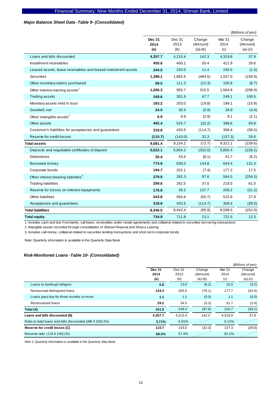#### *Major Balance Sheet Data -Table 9- (Consolidated)*

|                                                               |                              |                       |                                 |                       | (Billions of yen)               |
|---------------------------------------------------------------|------------------------------|-----------------------|---------------------------------|-----------------------|---------------------------------|
|                                                               | <b>Dec 31</b><br>2014<br>(a) | Dec 31<br>2013<br>(b) | Change<br>(Amount)<br>$(a)-(b)$ | Mar 31<br>2014<br>(c) | Change<br>(Amount)<br>$(a)-(c)$ |
| Loans and bills discounted                                    | 4,357.7                      | 4,215.4               | 142.3                           | 4,319.8               | 37.9                            |
| Installment receivables                                       | 450.6                        | 400.1                 | 50.4                            | 421.9                 | 28.6                            |
| Leased assets, lease receivables and leased investment assets | 244.5                        | 233.0                 | 11.4                            | 245.5                 | (1.0)                           |
| Securities                                                    | 1,398.1                      | 1,882.6               | (484.5)                         | 1,557.0               | (158.9)                         |
| Other monetary claims purchased                               | 99.0                         | 111.3                 | (12.3)                          | 105.8                 | (6.7)                           |
| Other interest earning assets <sup>1</sup>                    | 1,266.3                      | 950.7                 | 315.5                           | 1,564.8               | (298.4)                         |
| <b>Trading assets</b>                                         | 349.6                        | 301.9                 | 47.7                            | 249.1                 | 100.5                           |
| Monetary assets held in trust                                 | 183.2                        | 203.0                 | (19.8)                          | 199.1                 | (15.8)                          |
| Goodwill, net                                                 | 24.5                         | 30.4                  | (5.9)                           | 28.9                  | (4.4)                           |
| Other intangible assets <sup>2</sup>                          | 6.9                          | 9.9                   | (2.9)                           | 9.1                   | (2.1)                           |
| Other assets                                                  | 492.4                        | 524.7                 | (32.2)                          | 398.6                 | 93.8                            |
| Customer's liabilities for acceptances and guarantees         | 318.8                        | 433.5                 | (114.7)                         | 358.4                 | (39.5)                          |
| Reserve for credit losses                                     | (110.7)                      | (143.0)               | 32.3                            | (137.3)               | 26.6                            |
| <b>Total assets</b>                                           | 9,081.4                      | 9,154.2               | (72.7)                          | 9,321.1               | (239.6)                         |
| Deposits and negotiable certificates of deposit               | 5,622.1                      | 5,954.2               | (332.0)                         | 5,850.4               | (228.2)                         |
| Debentures                                                    | 35.4                         | 43.6                  | (8.1)                           | 41.7                  | (6.2)                           |
| Borrowed money                                                | 774.9                        | 630.0                 | 144.8                           | 643.4                 | 131.4                           |
| Corporate bonds                                               | 194.7                        | 202.1                 | (7.4)                           | 177.2                 | 17.5                            |
| Other interest bearing liabilities <sup>3</sup>               | 379.9                        | 282.3                 | 97.6                            | 584.5                 | (204.5)                         |
| <b>Trading liabilities</b>                                    | 299.6                        | 262.5                 | 37.0                            | 218.5                 | 81.0                            |
| Reserve for losses on interest repayments                     | 176.9                        | 39.2                  | 137.7                           | 208.2                 | (31.2)                          |
| Other liabilities                                             | 543.8                        | 594.6                 | (50.7)                          | 515.9                 | 27.9                            |
| Acceptances and guarantees                                    | 318.8                        | 433.5                 | (114.7)                         | 358.4                 | (39.5)                          |
| <b>Total liabilities</b>                                      | 8,346.5                      | 8,442.4               | (95.9)                          | 8,598.5               | (252.0)                         |
| <b>Total equity</b>                                           | 734.9                        | 711.8                 | 23.1                            | 722.5                 | 12.3                            |

1. Includes cash and due from banks, call loans, receivables under resale agreements and collateral related to securities borrow ing transactions

2. Intangible assets recorded through consolidation of Shinsei Financial and Show a Leasing

3. Includes call money, collateral related to securities lending transactions and short-term corporate bonds

Note: Quarterly information is available in the Quarterly Data Book.

## *Risk-Monitored Loans -Table 10- (Consolidated)*

|                                                           |         |         |           |         | (Billions of yen) |
|-----------------------------------------------------------|---------|---------|-----------|---------|-------------------|
|                                                           | Dec 31  | Dec 31  | Change    | Mar 31  | Change            |
|                                                           | 2014    | 2013    | (Amount)  | 2014    | (Amount)          |
|                                                           | (a)     | (b)     | $(a)-(b)$ | (c)     | $(a)-(c)$         |
| Loans to bankrupt obligors                                | 6.8     | 13.0    | (6.2)     | 10.0    | (3.2)             |
| Nonaccrual delinquent loans                               | 124.3   | 200.5   | (76.1)    | 177.7   | (53.4)            |
| Loans past due for three months or more                   | 1.1     | 1.1     | (0.0)     | 1.1     | (0.0)             |
| <b>Restructured loans</b>                                 | 29.2    | 34.5    | (5.3)     | 31.7    | (2.4)             |
| Total (A)                                                 | 161.5   | 249.3   | (87.8)    | 220.7   | (59.2)            |
| Loans and bills discounted (B)                            | 4,357.7 | 4.215.4 | 142.3     | 4,319.8 | 37.9              |
| Ratio to total loans and bills discounted (A/B X 100) (%) | 3.71%   | 5.91%   |           | 5.11%   |                   |
| Reserve for credit losses (C)                             | 110.7   | 143.0   | (32.3)    | 137.3   | (26.6)            |
| Reserve ratio $(C/A X 100)(%$                             | 68.5%   | 57.4%   |           | 62.2%   |                   |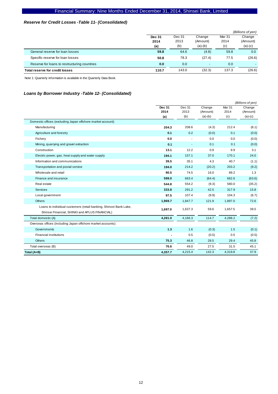## *Reserve for Credit Losses -Table 11- (Consolidated)*

|                                              |        |        |           |        | (Billions of yen) |
|----------------------------------------------|--------|--------|-----------|--------|-------------------|
|                                              | Dec 31 | Dec 31 | Change    | Mar 31 | Change            |
|                                              | 2014   | 2013   | (Amount)  | 2014   | (Amount)          |
|                                              | (a)    | (b)    | $(a)-(b)$ | (c)    | $(a)-(c)$         |
| General reserve for loan losses              | 59.8   | 64.6   | (4.8)     | 59.8   | 0.0               |
| Specific reserve for loan losses             | 50.8   | 78.3   | (27.4)    | 77.5   | (26.6)            |
| Reserve for loans to restructuring countries | 0.0    | 0.0    | -         | 0.0    |                   |
| Total reserve for credit losses              | 110.7  | 143.0  | (32.3)    | 137.3  | (26.6)            |

Note 1: Quarterly information is available in the Quarterly Data Book.

## *Loans by Borrower Industry -Table 12- (Consolidated)*

|                                                                   |                       |                |                    |                | (Billions of yen)  |
|-------------------------------------------------------------------|-----------------------|----------------|--------------------|----------------|--------------------|
|                                                                   | <b>Dec 31</b><br>2014 | Dec 31<br>2013 | Change<br>(Amount) | Mar 31<br>2014 | Change<br>(Amount) |
|                                                                   | (a)                   | (b)            | $(a)-(b)$          | (c)            | $(a)-(c)$          |
| Domestic offices (excluding Japan offshore market account):       |                       |                |                    |                |                    |
| Manufacturing                                                     | 204.3                 | 208.6          | (4.3)              | 212.4          | (8.1)              |
| Agriculture and forestry                                          | 0.1                   | 0.2            | (0.0)              | 0.1            | (0.0)              |
| Fishery                                                           | 0.0                   |                | 0.0                | 0.0            | (0.0)              |
| Mining, quarrying and gravel extraction                           | 0.1                   | ÷,             | 0.1                | 0.1            | (0.0)              |
| Construction                                                      | 13.1                  | 12.2           | 0.9                | 9.9            | 3.1                |
| Electric power, gas, heat supply and water supply                 | 194.1                 | 157.1          | 37.0               | 170.1          | 24.0               |
| Information and communications                                    | 39.5                  | 35.1           | 4.3                | 40.7           | (1.1)              |
| Transportation and postal service                                 | 194.0                 | 214.2          | (20.2)             | 203.2          | (9.2)              |
| Wholesale and retail                                              | 90.5                  | 74.5           | 16.0               | 89.2           | 1.3                |
| Finance and insurance                                             | 599.0                 | 663.4          | (64.4)             | 662.6          | (63.6)             |
| Real estate                                                       | 544.8                 | 554.2          | (9.3)              | 580.0          | (35.2)             |
| <b>Services</b>                                                   | 333.8                 | 291.2          | 42.5               | 317.9          | 15.8               |
| Local government                                                  | 97.5                  | 107.4          | (9.9)              | 104.3          | (6.7)              |
| <b>Others</b>                                                     | 1,969.7               | 1,847.7        | 121.9              | 1,897.0        | 72.6               |
| Loans to individual customers (retail banking, Shinsei Bank Lake, | 1,697.0               | 1,637.3        | 59.6               | 1.657.5        | 39.5               |
| Shinsei Financial, SHINKI and APLUS FINANCIAL)                    |                       |                |                    |                |                    |
| Total domestic (A)                                                | 4,281.0               | 4,166.3        | 114.7              | 4,288.2        | (7.2)              |
| Overseas offices (including Japan offshore market accounts):      |                       |                |                    |                |                    |
| Governments                                                       | $1.3$                 | 1.6            | (0.3)              | 1.5            | (0.1)              |
| <b>Financial institutions</b>                                     |                       | 0.5            | (0.5)              | 0.5            | (0.5)              |
| <b>Others</b>                                                     | 75.3                  | 46.8           | 28.5               | 29.4           | 45.8               |
| Total overseas (B)                                                | 76.6                  | 49.0           | 27.5               | 31.5           | 45.1               |
| Total (A+B)                                                       | 4,357.7               | 4,215.4        | 142.3              | 4,319.8        | 37.9               |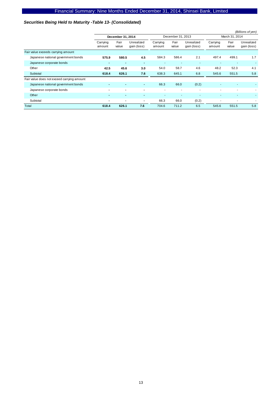## *Securities Being Held to Maturity -Table 13- (Consolidated)*

|                                            |                    |                |                           |                    |                |                           |                    |                | (Billions of yen)         |
|--------------------------------------------|--------------------|----------------|---------------------------|--------------------|----------------|---------------------------|--------------------|----------------|---------------------------|
|                                            | December 31, 2014  |                | December 31, 2013         |                    |                | March 31, 2014            |                    |                |                           |
|                                            | Carrying<br>amount | Fair<br>value  | Unrealized<br>gain (loss) | Carrying<br>amount | Fair<br>value  | Unrealized<br>gain (loss) | Carrying<br>amount | Fair<br>value  | Unrealized<br>gain (loss) |
| Fair value exceeds carrying amount         |                    |                |                           |                    |                |                           |                    |                |                           |
| Japanese national government bonds         | 575.9              | 580.5          | 4.5                       | 584.3              | 586.4          | 2.1                       | 497.4              | 499.1          | 1.7                       |
| Japanese corporate bonds                   | $\blacksquare$     | $\blacksquare$ | $\sim$                    |                    |                |                           |                    |                |                           |
| Other                                      | 42.5               | 45.6           | 3.0                       | 54.0               | 58.7           | 4.6                       | 48.2               | 52.3           | 4.1                       |
| Subtotal                                   | 618.4              | 626.1          | 7.6                       | 638.3              | 645.1          | 6.8                       | 545.6              | 551.5          | 5.8                       |
| Fair value does not exceed carrying amount |                    |                |                           |                    |                |                           |                    |                |                           |
| Japanese national government bonds         | $\blacksquare$     | $\blacksquare$ | $\blacksquare$            | 66.3               | 66.0           | (0.2)                     |                    |                |                           |
| Japanese corporate bonds                   | $\blacksquare$     | $\blacksquare$ | $\blacksquare$            | ۰                  | $\blacksquare$ | ٠                         |                    |                |                           |
| Other                                      |                    | $\blacksquare$ | $\blacksquare$            |                    |                | ٠                         |                    |                |                           |
| Subtotal                                   | $\blacksquare$     | $\blacksquare$ | $\blacksquare$            | 66.3               | 66.0           | (0.2)                     |                    | $\blacksquare$ |                           |
| Total                                      | 618.4              | 626.1          | 7.6                       | 704.6              | 711.2          | 6.5                       | 545.6              | 551.5          | 5.8                       |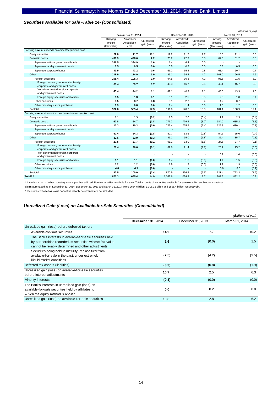#### *Securities Available for Sale -Table 14- (Consolidated)*

|                                                                        |                                    |                                   |                           |                                    |                                   | (Billions of yen)         |                                    |                                   |                           |
|------------------------------------------------------------------------|------------------------------------|-----------------------------------|---------------------------|------------------------------------|-----------------------------------|---------------------------|------------------------------------|-----------------------------------|---------------------------|
|                                                                        |                                    | December 31, 2014                 |                           | December 31, 2013                  |                                   |                           | March 31, 2014                     |                                   |                           |
|                                                                        | Carrying<br>amount<br>(Fair value) | Amortized/<br>Acquisition<br>cost | Unrealized<br>gain (loss) | Carrying<br>amount<br>(Fair value) | Amortized/<br>Acquisition<br>cost | Unrealized<br>gain (loss) | Carrying<br>amount<br>(Fair value) | Amortized/<br>Acquisition<br>cost | Unrealized<br>gain (loss) |
| Carrying amount exceeds amortized/acquisition cost                     |                                    |                                   |                           |                                    |                                   |                           |                                    |                                   |                           |
| Equity securities                                                      | 22.8                               | 11.7                              | 11.1                      | 19.2                               | 11.5                              | 7.7                       | 18.0                               | 11.1                              | 6.8                       |
| Domestic bonds                                                         | 430.9                              | 428.6                             | 2.2                       | 73.2                               | 72.3                              | 0.8                       | 62.0                               | 61.2                              | 0.8                       |
| Japanese national government bonds                                     | 386.5                              | 384.9                             | 1.6                       | 6.4                                | 6.4                               | 0.0                       |                                    | $\sim$                            |                           |
| Japanese local government bonds                                        | 0.5                                | 0.5                               | 0.0                       | 0.5                                | 0.5                               | 0.0                       | 0.5                                | 0.5                               | 0.0                       |
| Japanese corporate bonds                                               | 43.9                               | 43.2                              | 0.6                       | 66.2                               | 65.4                              | 0.8                       | 61.4                               | 60.7                              | 0.7                       |
| Other                                                                  | 118.9                              | 114.9                             | 3.9                       | 99.1                               | 94.4                              | 4.7                       | 101.0                              | 96.5                              | 4.5                       |
| Foreign securities                                                     | 108.4                              | 105.3                             | 3.0                       | 94.5                               | 90.2                              | 4.2                       | 95.5                               | 91.5                              | 3.9                       |
| Foreign currency denominated foreign<br>corporate and government bonds | 61.4                               | 59.7                              | $1.7$                     | 49.3                               | 46.7                              | 2.5                       | 48.1                               | 45.7                              | 2.3                       |
| Yen-denominated foreign corporate<br>and government bonds              | 45.4                               | 44.2                              | 1.1                       | 42.1                               | 40.9                              | 1.1                       | 45.0                               | 43.9                              | 1.0                       |
| Foreign equity securities and others                                   | 1.5                                | 1.3                               | 0.1                       | 3.1                                | 2.5                               | 0.5                       | 2.3                                | 1.8                               | 0.4                       |
| Other securities                                                       | 9.5                                | 8.7                               | 0.8                       | 3.1                                | 2.7                               | 0.4                       | 4.2                                | 3.7                               | 0.5                       |
| Other monetary claims purchased                                        | 0.9                                | 0.8                               | 0.0                       | 1.4                                | 1.4                               | 0.0                       | 1.3                                | 1.2                               | 0.0                       |
| Subtotal                                                               | 572.8                              | 555.4                             | 17.3                      | 191.6                              | 178.2                             | 13.3                      | 181.1                              | 168.9                             | 12.1                      |
| Carrying amount does not exceed amortized/acquisition cost             |                                    |                                   |                           |                                    |                                   |                           |                                    |                                   |                           |
| Equity securities                                                      | 1.1                                | 1.3                               | (0.2)                     | 1.5                                | 2.0                               | (0.4)                     | 1.9                                | 2.3                               | (0.4)                     |
| Domestic bonds                                                         | 62.8                               | 64.7                              | (1.8)                     | 776.2                              | 779.5                             | (3.2)                     | 684.0                              | 685.2                             | (1.1)                     |
| Japanese national government bonds                                     | 10.3                               | 10.3                              | (0.0)                     | 723.4                              | 725.9                             | (2.4)                     | 629.3                              | 630.1                             | (0.7)                     |
| Japanese local government bonds                                        |                                    | $\overline{\phantom{a}}$          |                           | ÷                                  | ٠                                 | ٠                         | $\overline{\phantom{a}}$           | ×                                 | ×                         |
| Japanese corporate bonds                                               | 52.4                               | 54.3                              | (1.8)                     | 52.7                               | 53.6                              | (0.8)                     | 54.6                               | 55.0                              | (0.4)                     |
| Other                                                                  | 33.6                               | 33.9                              | (0.3)                     | 93.1                               | 95.0                              | (1.8)                     | 35.4                               | 35.7                              | (0.3)                     |
| Foreign securities                                                     | 27.5                               | 27.7                              | (0.1)                     | 91.1                               | 93.0                              | (1.8)                     | 27.6                               | 27.7                              | (0.1)                     |
| Foreign currency denominated foreign<br>corporate and government bonds | 26.4                               | 26.6                              | (0.1)                     | 89.6                               | 91.4                              | (1.7)                     | 25.2                               | 25.2                              | (0.0)                     |
| Yen-denominated foreign corporate<br>and government bonds              |                                    |                                   |                           |                                    |                                   |                           | 0.9                                | 1.0                               | (0.0)                     |
| Foreign equity securities and others                                   | 1.1                                | 1.1                               | (0.0)                     | 1.4                                | 1.5                               | (0.0)                     | 1.4                                | 1.5                               | (0.0)                     |
| Other securities                                                       | 1.2                                | 1.2                               | (0.0)                     | 1.9                                | 1.9                               | (0.0)                     | 1.9                                | 1.9                               | (0.0)                     |
| Other monetary claims purchased                                        | 4.8                                | 4.9                               | (0.0)                     | ٠                                  | ٠                                 | $\overline{\phantom{a}}$  | 5.8                                | 6.0                               | (0.1)                     |
| Subtotal                                                               | 97.5                               | 100.0                             | (2.4)                     | 870.9                              | 876.5                             | (5.6)                     | 721.4                              | 723.3                             | (1.9)                     |
| Total $1, 2$                                                           | 670.3                              | 655.4                             | 14.9                      | 1,062.6                            | 1,054.8                           | 7.7                       | 902.5                              | 892.2                             | 10.2                      |

1. Includes a part of other monetary claims purchased in addition to securities available for sale. Total amounts of securities available for sale excluding such other monetary

claims purchased as of December 31, 2014, December 31, 2013 and March 31, 2014 w ere ¥664.6 billion, ¥1,061.1 billion and ¥895.4 billion, respectively.

2. Securities w hose fair value cannot be reliably determined are not included.

#### *Unrealized Gain (Loss) on Available-for-Sale Securities (Consolidated)*

|                                                                                                                                                                               |                   |                   | (Billions of yen) |
|-------------------------------------------------------------------------------------------------------------------------------------------------------------------------------|-------------------|-------------------|-------------------|
|                                                                                                                                                                               | December 31, 2014 | December 31, 2013 | March 31, 2014    |
| Unrealized gain (loss) before deferred tax on:                                                                                                                                |                   |                   |                   |
| Available-for-sale securities                                                                                                                                                 | 14.9              | 7.7               | 10.2 <sub>1</sub> |
| The Bank's interests in available-for-sale securities held<br>by partnerships recorded as securities w hose fair value<br>cannot be reliably determined and other adjustments | 1.6               | (0.0)             | 1.5               |
| Securities being held to maturity, reclassified from<br>available-for-sale in the past, under extremely<br>illiquid market conditions                                         | (2.5)             | (4.2)             | (3.5)             |
| Deferred tax assets (liabilities)                                                                                                                                             | (3.3)             | (0.8)             | (1.9)             |
| Unrealized gain (loss) on available-for-sale securities<br>before interest adjustments                                                                                        | 10.7              | 2.5               | 6.3               |
| Minority interests                                                                                                                                                            | (0.1)             | (0.0)             | (0.0)             |
| The Bank's interests in unrealized gain (loss) on<br>available-for-sale securities held by affiliates to<br>w hich the equity method is applied                               | 0.0               | 0.2               | 0.0               |
| Unrealized gain (loss) on available-for-sale securities                                                                                                                       | 10.6              | 2.8               | 6.2               |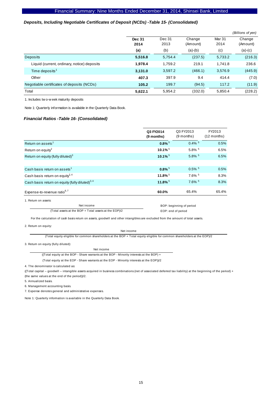#### *Deposits, Including Negotiable Certificates of Deposit (NCDs) -Table 15- (Consolidated)*

|                                             |                       |                |                    |                           | (Billions of yen)  |
|---------------------------------------------|-----------------------|----------------|--------------------|---------------------------|--------------------|
|                                             | <b>Dec 31</b><br>2014 | Dec 31<br>2013 | Change<br>(Amount) | Mar <sub>31</sub><br>2014 | Change<br>(Amount) |
|                                             | (a)                   | (b)            | $(a)-(b)$          | (c)                       | $(a)-(c)$          |
| <b>Deposits</b>                             | 5,516.8               | 5,754.4        | (237.5)            | 5,733.2                   | (216.3)            |
| Liquid (current, ordinary, notice) deposits | 1,978.4               | 1,759.2        | 219.1              | 1.741.8                   | 236.6              |
| Time deposits <sup>1</sup>                  | 3,131.0               | 3,597.2        | (466.1)            | 3,576.9                   | (445.9)            |
| Other                                       | 407.3                 | 397.9          | 9.4                | 414.4                     | (7.0)              |
| Negotiable certificates of deposits (NCDs)  | 105.2                 | 199.7          | (94.5)             | 117.2                     | (11.9)             |
| Total                                       | 5,622.1               | 5.954.2        | (332.0)            | 5,850.4                   | (228.2)            |

1. Includes tw o-w eek maturity deposits

Note 1: Quarterly information is available in the Quarterly Data Book.

#### *Financial Ratios -Table 16- (Consolidated)*

|                                                            | Q3 FY2014<br>(9 months) | Q3 FY2013<br>$(9$ months) | FY2013<br>$(12$ months) |
|------------------------------------------------------------|-------------------------|---------------------------|-------------------------|
| Return on assets <sup>1</sup>                              | $0.8\%$ <sup>5</sup>    | $0.4\%$ <sup>5</sup>      | 0.5%                    |
| Return on equity <sup>2</sup>                              | $10.1\%$ <sup>5</sup>   | 5.8% 5                    | 6.5%                    |
| Return on equity (fully diluted) <sup>3</sup>              | $10.1\%$ <sup>5</sup>   | 5.8% 5                    | 6.5%                    |
|                                                            |                         |                           |                         |
| Cash basis return on assets <sup>1</sup>                   | $0.8\%$ <sup>5</sup>    | $0.5\%$ <sup>5</sup>      | 0.5%                    |
| Cash basis return on equity <sup>2, 4</sup>                | 11.8% <sup>5</sup>      | 7.6% 5                    | 8.3%                    |
| Cash basis return on equity (fully diluted) <sup>3,4</sup> | $11.8\%$ <sup>5</sup>   | 7.6% 5                    | 8.3%                    |
| Expense-to-revenue ratio <sup>6,7</sup>                    | 60.0%                   | 65.4%                     | 65.4%                   |

1. Return on assets:

Net income (Total assets at the BOP + Total assets at the EOP)/2  BOP: beginning of period EOP: end of period

For the calculation of cash basis return on assets, goodwill and other intangibles are excluded from the amount of total assets.

2. Return on equity:

Net income

(Total equity eligible for common shareholders at the BOP + Total equity eligible for common shareholders at the EOP)/2

3. Return on equity (fully diluted):

Net income ((Total equity at the BOP - Share warrants at the BOP - Minority interests at the BOP) +

(Total equity at the EOP - Share warrants at the EOP - Minority interests at the EOP))/2

4. The denominator is calculated as:

((Total capital – goodwill – intangible assets acquired in business combinations (net of associated deferred tax liability) at the beginning of the period) + (the same values at the end of the period))/2.

5. Annualized basis.

6. Management accounting basis.

7. Expense denotes general and administrative expenses.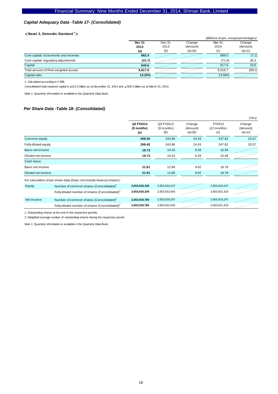#### *Capital Adequacy Data -Table 17- (Consolidated)*

#### <**Basel 3, Domestic Standard 1**>

|                                        |         |        |           | (Billions of yen, except percentages) |           |
|----------------------------------------|---------|--------|-----------|---------------------------------------|-----------|
|                                        | Dec 31  | Dec 31 | Change    | Mar <sub>31</sub>                     | Change    |
|                                        | 2014    | 2013   | (Amount)  | 2014                                  | (Amount)  |
|                                        | (a)     | (b)    | $(a)-(b)$ | (c)                                   | $(a)-(c)$ |
| Core capital: instruments and reserves | 882.4   |        |           | 889.5                                 | (7.1)     |
| Core capital: regulatory adjustments   | (41.7)  |        |           | (71.9)                                | 30.2      |
| Capital                                | 840.6   |        |           | 817.6                                 | 23.0      |
| Total amount of Risk-weighted assets   | 5,917.6 |        |           | 6.016.7                               | (99.1)    |
| Capital ratio                          | 14.20%  |        |           | 13.58%                                |           |

1. Calculated according to F-IRB.

Consolidated total required capital is  $\frac{1}{4}512.3$  billion as at December 31, 2014 and  $\frac{1}{4}550.3$  billion as at March 31, 2014.

Note 1: Quarterly information is available in the Quarterly Data Book.

#### *Per Share Data -Table 18- (Consolidated)*

|                      |                                                                        |                                |                                |                                 |                                | (Yen)                           |
|----------------------|------------------------------------------------------------------------|--------------------------------|--------------------------------|---------------------------------|--------------------------------|---------------------------------|
|                      |                                                                        | Q3 FY2014<br>(9 months)<br>(a) | Q3 FY2013<br>(9 months)<br>(b) | Change<br>(Amount)<br>$(a)-(b)$ | FY2013<br>$(12$ months)<br>(c) | Change<br>(Amount)<br>$(a)-(c)$ |
| Common equity        |                                                                        | 268.40                         | 243.96                         | 24.43                           | 247.82                         | 20.57                           |
| Fully diluted equity |                                                                        | 268.40                         | 243.96                         | 24.43                           | 247.82                         | 20.57                           |
| Basic net income     |                                                                        | 19.73                          | 10.43                          | 9.29                            | 15.59                          |                                 |
| Diluted net income   |                                                                        | 19.73                          | 10.43                          | 9.29                            | 15.59                          |                                 |
| Cash basis:          |                                                                        |                                |                                |                                 |                                |                                 |
| Basic net income     |                                                                        | 21.91                          | 12.89                          | 9.02                            | 18.78                          |                                 |
| Diluted net income   |                                                                        | 21.91                          | 12.89                          | 9.02                            | 18.78                          |                                 |
|                      | For calculation of per share data (Does not include treasury shares) : |                                |                                |                                 |                                |                                 |
| Equity:              | Number of common shares (Consolidated) <sup>1</sup>                    | 2,653,918,339                  | 2,653,919,247                  |                                 | 2,653,919,247                  |                                 |
|                      | Fully diluted number of shares (Consolidated) <sup>1</sup>             | 2,653,918,339                  | 2,653,922,643                  |                                 | 2,653,921,423                  |                                 |
| Net income:          | Number of common shares (Consolidated) <sup>2</sup>                    | 2,653,918,785                  | 2,653,919,247                  |                                 | 2,653,919,247                  |                                 |
|                      | Fully diluted number of shares (Consolidated) <sup>2</sup>             | 2,653,918,785                  | 2,653,922,643                  |                                 | 2,653,921,423                  |                                 |

1. Outstanding shares at the end of the respective periods.

2. Weighted average number of outstanding shares during the respective period.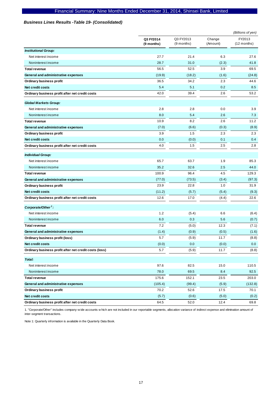#### *Business Lines Results -Table 19- (Consolidated)*

|                                                        |                         |                         |                    | (Billions of yen)       |
|--------------------------------------------------------|-------------------------|-------------------------|--------------------|-------------------------|
|                                                        | Q3 FY2014<br>(9 months) | Q3 FY2013<br>(9 months) | Change<br>(Amount) | FY2013<br>$(12$ months) |
| <b>Institutional Group:</b>                            |                         |                         |                    |                         |
| Net interest income                                    | 27.7                    | 21.4                    | 6.3                | 27.6                    |
| Noninterest income                                     | 28.7                    | 31.0                    | (2.3)              | 41.8                    |
| <b>Total revenue</b>                                   | 56.5                    | 52.5                    | 3.9                | 69.5                    |
| General and administrative expenses                    | (19.9)                  | (18.2)                  | (1.6)              | (24.8)                  |
| Ordinary business profit                               | 36.5                    | 34.2                    | 2.3                | 44.6                    |
| Net credit costs                                       | 5.4                     | 5.1                     | 0.2                | 8.5                     |
| Ordinary business profit after net credit costs        | 42.0                    | 39.4                    | 2.6                | 53.2                    |
| <b>Global Markets Group:</b>                           |                         |                         |                    |                         |
| Net interest income                                    | 2.8                     | 2.8                     | 0.0                | 3.9                     |
| Noninterest income                                     | 8.0                     | 5.4                     | 2.6                | 7.3                     |
| <b>Total revenue</b>                                   | 10.9                    | 8.2                     | 2.6                | 11.2                    |
| General and administrative expenses                    | (7.0)                   | (6.6)                   | (0.3)              | (8.9)                   |
| <b>Ordinary business profit</b>                        | 3.9                     | 1.5                     | 2.3                | 2.3                     |
| Net credit costs                                       | 0.0                     | (0.0)                   | 0.1                | 0.4                     |
| Ordinary business profit after net credit costs        | 4.0                     | 1.5                     | 2.5                | 2.8                     |
| <b>Individual Group:</b>                               |                         |                         |                    |                         |
| Net interest income                                    | 65.7                    | 63.7                    | 1.9                | 85.3                    |
| Noninterest income                                     | 35.2                    | 32.6                    | 2.5                | 44.0                    |
| <b>Total revenue</b>                                   | 100.9                   | 96.4                    | 4.5                | 129.3                   |
| General and administrative expenses                    | (77.0)                  | (73.5)                  | (3.4)              | (97.3)                  |
| Ordinary business profit                               | 23.9                    | 22.8                    | 1.0                | 31.9                    |
| <b>Net credit costs</b>                                | (11.2)                  | (5.7)                   | (5.4)              | (9.3)                   |
| Ordinary business profit after net credit costs        | 12.6                    | 17.0                    | (4.4)              | 22.6                    |
| Corporate/Other <sup>1</sup> :                         |                         |                         |                    |                         |
| Net interest income                                    | 1.2                     | (5.4)                   | 6.6                | (6.4)                   |
| Noninterest income                                     | 6.0                     | 0.3                     | 5.6                | (0.7)                   |
| <b>Total revenue</b>                                   | 7.2                     | (5.0)                   | 12.3               | (7.1)                   |
| General and administrative expenses                    | (1.4)                   | (0.9)                   | (0.5)              | (1.6)                   |
| Ordinary business profit (loss)                        | 5.7                     | (5.9)                   | 11.7               | (8.8)                   |
| Net credit costs                                       | (0.0)                   | 0.0                     | (0.0)              | 0.0                     |
| Ordinary business profit after net credit costs (loss) | 5.7                     | (5.9)                   | 11.7               | (8.8)                   |
| Total:                                                 |                         |                         |                    |                         |
| Net interest income                                    | 97.6                    | 82.5                    | 15.0               | 110.5                   |
| Noninterest income                                     | 78.0                    | 69.5                    | 8.4                | 92.5                    |
| <b>Total revenue</b>                                   | 175.6                   | 152.1                   | 23.5               | 203.0                   |
| General and administrative expenses                    | (105.4)                 | (99.4)                  | (5.9)              | (132.8)                 |
| <b>Ordinary business profit</b>                        | 70.2                    | 52.6                    | 17.5               | 70.1                    |
| Net credit costs                                       | (5.7)                   | (0.6)                   | (5.0)              | (0.2)                   |
| Ordinary business profit after net credit costs        | 64.5                    | 52.0                    | 12.4               | 69.8                    |

1. "Corporate/Other" includes company-w ide accounts w hich are not included in our reportable segments, allocation variance of indirect expense and elimination amount of inter-segment transactions.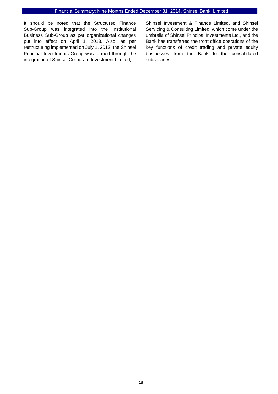It should be noted that the Structured Finance Sub-Group was integrated into the Institutional Business Sub-Group as per organizational changes put into effect on April 1, 2013. Also, as per restructuring implemented on July 1, 2013, the Shinsei Principal Investments Group was formed through the integration of Shinsei Corporate Investment Limited,

Shinsei Investment & Finance Limited, and Shinsei Servicing & Consulting Limited, which come under the umbrella of Shinsei Principal Investments Ltd., and the Bank has transferred the front office operations of the key functions of credit trading and private equity businesses from the Bank to the consolidated subsidiaries.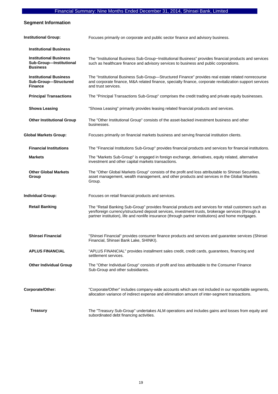## **Segment Information**

| <b>Institutional Group:</b>                                                 | Focuses primarily on corporate and public sector finance and advisory business.                                                                                                                                                                                                                                   |
|-----------------------------------------------------------------------------|-------------------------------------------------------------------------------------------------------------------------------------------------------------------------------------------------------------------------------------------------------------------------------------------------------------------|
| <b>Institutional Business</b>                                               |                                                                                                                                                                                                                                                                                                                   |
| <b>Institutional Business</b><br>Sub-Group-Institutional<br><b>Business</b> | The "Institutional Business Sub-Group-Institutional Business" provides financial products and services<br>such as healthcare finance and advisory services to business and public corporations.                                                                                                                   |
| <b>Institutional Business</b><br>Sub-Group-Structured<br><b>Finance</b>     | The "Institutional Business Sub-Group-Structured Finance" provides real estate related nonrecourse<br>and corporate finance, M&A related finance, specialty finance, corporate revitalization support services<br>and trust services.                                                                             |
| <b>Principal Transactions</b>                                               | The "Principal Transactions Sub-Group" comprises the credit trading and private equity businesses.                                                                                                                                                                                                                |
| <b>Showa Leasing</b>                                                        | "Showa Leasing" primarily provides leasing related financial products and services.                                                                                                                                                                                                                               |
| <b>Other Institutional Group</b>                                            | The "Other Institutional Group" consists of the asset-backed investment business and other<br>businesses.                                                                                                                                                                                                         |
| <b>Global Markets Group:</b>                                                | Focuses primarily on financial markets business and serving financial institution clients.                                                                                                                                                                                                                        |
| <b>Financial Institutions</b>                                               | The "Financial Institutions Sub-Group" provides financial products and services for financial institutions.                                                                                                                                                                                                       |
| <b>Markets</b>                                                              | The "Markets Sub-Group" is engaged in foreign exchange, derivatives, equity related, alternative<br>investment and other capital markets transactions.                                                                                                                                                            |
| <b>Other Global Markets</b><br>Group                                        | The "Other Global Markets Group" consists of the profit and loss attributable to Shinsei Securities,<br>asset management, wealth management, and other products and services in the Global Markets<br>Group.                                                                                                      |
| <b>Individual Group:</b>                                                    | Focuses on retail financial products and services.                                                                                                                                                                                                                                                                |
| <b>Retail Banking</b>                                                       | The "Retail Banking Sub-Group" provides financial products and services for retail customers such as<br>yen/foreign currency/structured deposit services, investment trusts, brokerage services (through a<br>partner institution), life and nonlife insurance (through partner institutions) and home mortgages. |
| <b>Shinsei Financial</b>                                                    | "Shinsei Financial" provides consumer finance products and services and guarantee services (Shinsei<br>Financial, Shinsei Bank Lake, SHINKI).                                                                                                                                                                     |
| <b>APLUS FINANCIAL</b>                                                      | "APLUS FINANCIAL" provides installment sales credit, credit cards, guarantees, financing and<br>settlement services.                                                                                                                                                                                              |
| <b>Other Individual Group</b>                                               | The "Other Individual Group" consists of profit and loss attributable to the Consumer Finance<br>Sub-Group and other subsidiaries.                                                                                                                                                                                |
| Corporate/Other:                                                            | "Corporate/Other" includes company-wide accounts which are not included in our reportable segments,<br>allocation variance of indirect expense and elimination amount of inter-segment transactions.                                                                                                              |
| <b>Treasury</b>                                                             | The "Treasury Sub-Group" undertakes ALM operations and includes gains and losses from equity and<br>subordinated debt financing activities.                                                                                                                                                                       |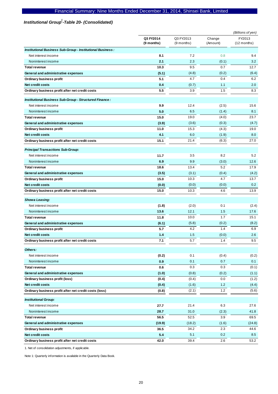## Institutional Group<sup>1</sup>-Table 20- (Consolidated)

|                                                            |                         |                           |                    | (Billions of yen)       |
|------------------------------------------------------------|-------------------------|---------------------------|--------------------|-------------------------|
|                                                            | Q3 FY2014<br>(9 months) | Q3 FY2013<br>$(9$ months) | Change<br>(Amount) | FY2013<br>$(12$ months) |
| Institutional Business Sub-Group - Institutional Business: |                         |                           |                    |                         |
| Net interest income                                        | 8.1                     | 7.2                       | 0.8                | 9.4                     |
| Noninterest income                                         | 2.1                     | 2.3                       | (0.1)              | 3.2                     |
| <b>Total revenue</b>                                       | 10.3                    | 9.5                       | 0.7                | 12.7                    |
| General and administrative expenses                        | (5.1)                   | (4.8)                     | (0.2)              | (6.4)                   |
| Ordinary business profit                                   | 5.1                     | 4.7                       | 0.4                | 6.2                     |
| Net credit costs                                           | 0.4                     | (0.7)                     | 1.1                | 2.0                     |
| Ordinary business profit after net credit costs            | 5.5                     | 3.9                       | 1.5                | 8.3                     |
| Institutional Business Sub-Group - Structured Finance:     |                         |                           |                    |                         |
| Net interest income                                        | 9.9                     | 12.4                      | (2.5)              | 15.6                    |
| Noninterest income                                         | 5.0                     | 6.5                       | (1.4)              | 8.1                     |
| <b>Total revenue</b>                                       | 15.0                    | 19.0                      | (4.0)              | 23.7                    |
| General and administrative expenses                        | (3.9)                   | (3.6)                     | (0.3)              | (4.7)                   |
| Ordinary business profit                                   | 11.0                    | 15.3                      | (4.3)              | 19.0                    |
| <b>Net credit costs</b>                                    | 4.1                     | 6.0                       | (1.9)              | 8.0                     |
| Ordinary business profit after net credit costs            | 15.1                    | 21.4                      | (6.3)              | 27.0                    |
| <b>Principal Transactions Sub-Group:</b>                   |                         |                           |                    |                         |
| Net interest income                                        | 11.7                    | 3.5                       | 8.2                | 5.2                     |
| Noninterest income                                         | 6.9                     | 9.9                       | (3.0)              | 12.6                    |
| <b>Total revenue</b>                                       | 18.6                    | 13.4                      | 5.2                | 17.9                    |
| General and administrative expenses                        | (3.5)                   | (3.1)                     | (0.4)              | (4.2)                   |
| <b>Ordinary business profit</b>                            | 15.0                    | 10.3                      | 4.7                | 13.7                    |
| <b>Net credit costs</b>                                    | (0.0)                   | (0.0)                     | (0.0)              | 0.2                     |
| Ordinary business profit after net credit costs            | 15.0                    | 10.3                      | 4.6                | 13.9                    |
| <b>Showa Leasing:</b>                                      |                         |                           |                    |                         |
| Net interest income                                        | (1.8)                   | (2.0)                     | 0.1                | (2.4)                   |
| Noninterest income                                         | 13.6                    | 12.1                      | 1.5                | 17.6                    |
| <b>Total revenue</b>                                       | 11.8                    | 10.0                      | 1.7                | 15.1                    |
| General and administrative expenses                        | (6.1)                   | (5.8)                     | (0.2)              | (8.2)                   |
| <b>Ordinary business profit</b>                            | 5.7                     | 4.2                       | 1.4                | 6.9                     |
| Net credit costs                                           | 1.4                     | 1.5                       | (0.0)              | 2.6                     |
| Ordinary business profit after net credit costs            | 7.1                     | $5.7\,$                   | 1.4                | 9.5                     |
| Others:                                                    |                         |                           |                    |                         |
| Net interest income                                        | (0.2)                   | 0.1                       | (0.4)              | (0.2)                   |
| Noninterest income                                         | 0.9                     | 0.1                       | 0.7                | 0.1                     |
| <b>Total revenue</b>                                       | 0.6                     | 0.3                       | 0.3                | (0.1)                   |
| General and administrative expenses                        | (1.0)                   | (0.8)                     | (0.2)              | (1.1)                   |
| Ordinary business profit (loss)                            | (0.4)                   | (0.4)                     | 0.0                | (1.2)                   |
| Net credit costs                                           | (0.4)                   | (1.6)                     | 1.2                | (4.4)                   |
| Ordinary business profit after net credit costs (loss)     | (0.8)                   | (2.1)                     | 1.2                | (5.6)                   |
| <b>Institutional Group:</b>                                |                         |                           |                    |                         |
| Net interest income                                        | 27.7                    | 21.4                      | 6.3                | 27.6                    |
| Noninterest income                                         | 28.7                    | 31.0                      | (2.3)              | 41.8                    |
| <b>Total revenue</b>                                       | 56.5                    | 52.5                      | 3.9                | 69.5                    |
| General and administrative expenses                        | (19.9)                  | (18.2)                    | (1.6)              | (24.8)                  |
| Ordinary business profit                                   | 36.5                    | 34.2                      | 2.3                | 44.6                    |
| Net credit costs                                           | 5.4                     | 5.1                       | 0.2                | 8.5                     |
| Ordinary business profit after net credit costs            | 42.0                    | 39.4                      | 2.6                | 53.2                    |

1. Net of consolidation adjustments, if applicable.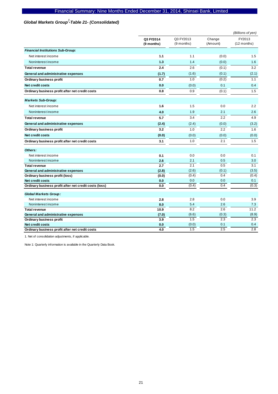## Global Markets Group<sup>1</sup>-Table 21- (Consolidated)

|                                                        |                         |                           |                    | (Billions of yen)     |
|--------------------------------------------------------|-------------------------|---------------------------|--------------------|-----------------------|
|                                                        | Q3 FY2014<br>(9 months) | Q3 FY2013<br>$(9$ months) | Change<br>(Amount) | FY2013<br>(12 months) |
| <b>Financial Institutions Sub-Group:</b>               |                         |                           |                    |                       |
| Net interest income                                    | 1.1                     | 1.1                       | (0.0)              | 1.5                   |
| Noninterest income                                     | 1.3                     | 1.4                       | (0.0)              | 1.6                   |
| <b>Total revenue</b>                                   | 2.4                     | 2.6                       | (0.1)              | 3.2                   |
| General and administrative expenses                    | (1.7)                   | (1.6)                     | (0.1)              | (2.1)                 |
| Ordinary business profit                               | 0.7                     | 1.0                       | (0.2)              | 1.1                   |
| Net credit costs                                       | 0.0                     | (0.0)                     | 0.1                | 0.4                   |
| Ordinary business profit after net credit costs        | 0.8                     | 0.9                       | (0.1)              | 1.5                   |
| <b>Markets Sub-Group:</b>                              |                         |                           |                    |                       |
| Net interest income                                    | 1.6                     | 1.5                       | 0.0                | 2.2                   |
| Noninterest income                                     | 4.0                     | 1.9                       | 2.1                | 2.6                   |
| <b>Total revenue</b>                                   | 5.7                     | 3.4                       | 2.2                | 4.9                   |
| General and administrative expenses                    | (2.4)                   | (2.4)                     | (0.0)              | (3.2)                 |
| Ordinary business profit                               | 3.2                     | 1.0                       | 2.2                | 1.6                   |
| <b>Net credit costs</b>                                | (0.0)                   | (0.0)                     | (0.0)              | (0.0)                 |
| Ordinary business profit after net credit costs        | 3.1                     | 1.0                       | 2.1                | 1.5                   |
| Others:                                                |                         |                           |                    |                       |
| Net interest income                                    | 0.1                     | 0.0                       | 0.0                | 0.1                   |
| Noninterest income                                     | 2.6                     | 2.1                       | 0.5                | 3.0                   |
| <b>Total revenue</b>                                   | 2.7                     | 2.1                       | 0.5                | $\overline{3.1}$      |
| General and administrative expenses                    | (2.8)                   | (2.6)                     | (0.1)              | (3.5)                 |
| Ordinary business profit (loss)                        | (0.0)                   | (0.4)                     | 0.4                | (0.4)                 |
| <b>Net credit costs</b>                                | 0.0                     | 0.0                       | 0.0<br>0.4         | 0.1                   |
| Ordinary business profit after net credit costs (loss) | 0.0                     | (0.4)                     |                    | (0.3)                 |
| <b>Global Markets Group:</b>                           |                         |                           |                    |                       |
| Net interest income                                    | 2.8                     | 2.8                       | 0.0                | 3.9                   |
| Noninterest income                                     | 8.0                     | 5.4                       | 2.6                | 7.3                   |
| <b>Total revenue</b>                                   | 10.9                    | 8.2                       | 2.6                | 11.2                  |
| General and administrative expenses                    | (7.0)                   | (6.6)                     | (0.3)              | (8.9)                 |
| Ordinary business profit                               | 3.9                     | 1.5                       | 2.3                | 2.3                   |
| <b>Net credit costs</b>                                | 0.0                     | (0.0)                     | 0.1                | 0.4                   |
| Ordinary business profit after net credit costs        | 4.0                     | 1.5                       | 2.5                | 2.8                   |

1. Net of consolidation adjustments, if applicable.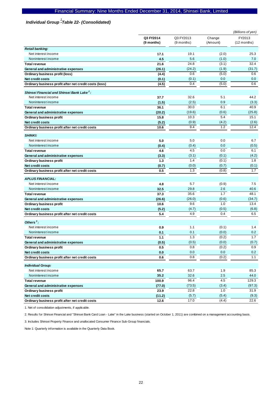# *Individual Group -Table 22- (Consolidated) 1*

|                                                        | (Billions of yen)       |                         |                    |                         |  |
|--------------------------------------------------------|-------------------------|-------------------------|--------------------|-------------------------|--|
|                                                        | Q3 FY2014<br>(9 months) | Q3 FY2013<br>(9 months) | Change<br>(Amount) | FY2013<br>$(12$ months) |  |
| <b>Retail banking:</b>                                 |                         |                         |                    |                         |  |
| Net interest income                                    | 17.1                    | 19.1                    | (2.0)              | 25.3                    |  |
| Noninterest income                                     | 4.5                     | 5.6                     | (1.0)              | 7.0                     |  |
| <b>Total revenue</b>                                   | 21.6                    | 24.8                    | (3.1)              | 32.4                    |  |
| General and administrative expenses                    | (26.1)                  | (24.2)                  | (1.9)              | (31.7)                  |  |
| Ordinary business profit (loss)                        | (4.4)                   | 0.6                     | (5.0)              | 0.6                     |  |
| <b>Net credit costs</b>                                | (0.1)                   | (0.1)                   | 0.0                | 0.0                     |  |
| Ordinary business profit after net credit costs (loss) | (4.5)                   | 0.4                     | (5.0)              | 0.6                     |  |
| Shinsei Financial and Shinsei Bank Lake <sup>2</sup> : |                         |                         |                    |                         |  |
| Net interest income                                    | 37.7                    | 32.6                    | 5.1                | 44.2                    |  |
| Noninterest income                                     | (1.5)                   | (2.5)                   | 0.9                | (3.3)                   |  |
| <b>Total revenue</b>                                   | 36.1                    | 30.0                    | 6.1                | 40.9                    |  |
| General and administrative expenses                    | (20.2)                  | (19.6)                  | (0.6)              | (25.8)                  |  |
| Ordinary business profit                               | 15.8                    | 10.3                    | 5.4                | 15.1                    |  |
| Net credit costs                                       | (5.2)                   | (0.9)                   | (4.2)              | (2.6)                   |  |
| Ordinary business profit after net credit costs        | 10.6                    | 9.4                     | 1.2                | 12.4                    |  |
| <b>SHINKI:</b>                                         |                         |                         |                    |                         |  |
| Net interest income                                    | 5.0                     | 5.0                     | 0.0                | 6.7                     |  |
| Noninterest income                                     | (0.4)                   | (0.4)                   | 0.0                | (0.5)                   |  |
| <b>Total revenue</b>                                   | 4.6                     | 4.5                     | 0.0                | 6.1                     |  |
| General and administrative expenses                    | (3.3)                   | (3.1)                   | (0.1)              | (4.2)                   |  |
| Ordinary business profit                               | 1.3                     | 1.4                     | (0.1)              | 1.8                     |  |
| Net credit costs                                       | (0.7)                   | (0.0)                   | (0.7)              | (0.1)                   |  |
| Ordinary business profit after net credit costs        | 0.5                     | 1.3                     | (0.8)              | 1.7                     |  |
| <b>APLUS FINANCIAL:</b>                                |                         |                         |                    |                         |  |
| Net interest income                                    | 4.8                     | 5.7                     | (0.9)              | 7.5                     |  |
| Noninterest income                                     | 32.5                    | 29.8                    | 2.6                | 40.6                    |  |
| <b>Total revenue</b>                                   | 37.3                    | 35.6                    | 1.7                | 48.1                    |  |
| General and administrative expenses                    | (26.6)                  | (26.0)                  | (0.6)              | (34.7)                  |  |
| Ordinary business profit                               | 10.6                    | 9.6                     | 1.0                | 13.4                    |  |
| <b>Net credit costs</b>                                | (5.2)                   | (4.7)                   | (0.5)              | (6.8)                   |  |
| Ordinary business profit after net credit costs        | 5.4                     | 4.9                     | 0.4                | 6.5                     |  |
| Others $3$ :                                           |                         |                         |                    |                         |  |
| Net interest income                                    | 0.9                     | 1.1                     | (0.1)              | 1.4                     |  |
| Noninterest income                                     | 0.1                     | 0.1                     | (0.0)              | 0.2                     |  |
| <b>Total revenue</b>                                   | 1.1                     | 1.3                     | (0.2)              | 1.7                     |  |
| General and administrative expenses                    | (0.5)                   | (0.5)                   | (0.0)              | (0.7)                   |  |
| Ordinary business profit                               | 0.5                     | 0.8                     | (0.2)              | 0.9                     |  |
| Net credit costs                                       | 0.0                     | $0.0\,$                 | 0.0                | 0.2                     |  |
| Ordinary business profit after net credit costs        | 0.6                     | 0.8                     | (0.2)              | 1.1                     |  |
| <b>Individual Group:</b>                               |                         |                         |                    |                         |  |
| Net interest income                                    | 65.7                    | 63.7                    | 1.9                | 85.3                    |  |
| Noninterest income                                     | 35.2                    | 32.6                    | 2.5                | 44.0                    |  |
| <b>Total revenue</b>                                   | 100.9                   | 96.4                    | 4.5                | 129.3                   |  |
| General and administrative expenses                    | (77.0)                  | (73.5)                  | (3.4)              | (97.3)                  |  |
| Ordinary business profit                               | 23.9                    | 22.8                    | 1.0                | 31.9                    |  |
| Net credit costs                                       | (11.2)                  | (5.7)                   | (5.4)              | (9.3)                   |  |
| Ordinary business profit after net credit costs        | 12.6                    | 17.0                    | (4.4)              | 22.6                    |  |

1. Net of consolidation adjustments, if applicable.

2. Results for Shinsei Financial and "Shinsei Bank Card Loan - Lake" in the Lake business (started on October 1, 2011) are combined on a management accounting basis.

3. Includes Shinsei Property Finance and unallocated Consumer Finance Sub-Group financials.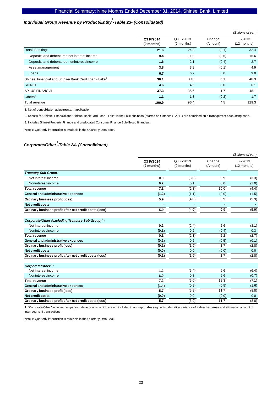# *Individual Group Revenue by Product/Entity -Table 23- (Consolidated) 1*

|                                                                  |                         |                         |                    | (Billions of yen)       |
|------------------------------------------------------------------|-------------------------|-------------------------|--------------------|-------------------------|
|                                                                  | Q3 FY2014<br>(9 months) | Q3 FY2013<br>(9 months) | Change<br>(Amount) | FY2013<br>$(12$ months) |
| <b>Retail Banking:</b>                                           | 21.6                    | 24.8                    | (3.1)              | 32.4                    |
| Deposits and debentures net interest income                      | 9.4                     | 11.9                    | (2.5)              | 15.6                    |
| Deposits and debentures noninterest income                       | 1.6                     | 2.1                     | (0.4)              | 2.7                     |
| Asset management                                                 | 3.8                     | 3.9                     | (0.1)              | 4.9                     |
| Loans                                                            | 6.7                     | 6.7                     | 0.0                | 9.0                     |
| Shinsei Financial and Shinsei Bank Card Loan - Lake <sup>2</sup> | 36.1                    | 30.0                    | 6.1                | 40.9                    |
| <b>SHINKI</b>                                                    | 4.6                     | 4.5                     | 0.0                | 6.1                     |
| APLUS FINANCIAL                                                  | 37.3                    | 35.6                    | 1.7                | 48.1                    |
| Others $3$                                                       | 1.1                     | 1.3                     | (0.2)              | 1.7                     |
| Total revenue                                                    | 100.9                   | 96.4                    | 4.5                | 129.3                   |

1. Net of consolidation adjustments, if applicable.

2. Results for Shinsei Financial and "Shinsei Bank Card Loan - Lake" in the Lake business (started on October 1, 2011) are combined on a management accounting basis.

3. Includes Shinsei Property Finance and unallocated Consumer Finance Sub-Group financials.

Note 1: Quarterly information is available in the Quarterly Data Book.

## *Corporate/Other -Table 24- (Consolidated) 1*

|                                                               |                         |                         |                    | (Billions of yen)       |
|---------------------------------------------------------------|-------------------------|-------------------------|--------------------|-------------------------|
|                                                               | Q3 FY2014<br>(9 months) | Q3 FY2013<br>(9 months) | Change<br>(Amount) | FY2013<br>$(12$ months) |
| Treasury Sub-Group:                                           |                         |                         |                    |                         |
| Net interest income                                           | 0.9                     | (3.0)                   | 3.9                | (3.3)                   |
| Noninterest income                                            | 6.2                     | 0.1                     | 6.0                | (1.0)                   |
| <b>Total revenue</b>                                          | 7.1                     | (2.8)                   | 10.0               | (4.4)                   |
| General and administrative expenses                           | (1.2)                   | (1.1)                   | (0.0)              | (1.5)                   |
| Ordinary business profit (loss)                               | 5.9                     | (4.0)                   | 9.9                | (5.9)                   |
| Net credit costs                                              | ٠                       | ٠                       |                    |                         |
| Ordinary business profit after net credit costs (loss)        | 5.9                     | (4.0)                   | 9.9                | (5.9)                   |
| Corporate/Other (excluding Treasury Sub-Group) <sup>1</sup> : |                         |                         |                    |                         |
| Net interest income                                           | 0.2                     | (2.4)                   | 2.6                | (3.1)                   |
| Noninterest income                                            | (0.1)                   | 0.2                     | (0.4)              | 0.3                     |
| <b>Total revenue</b>                                          | 0.1                     | (2.1)                   | 2.2                | (2.7)                   |
| General and administrative expenses                           | (0.2)                   | 0.2                     | (0.5)              | (0.1)                   |
| Ordinary business profit (loss)                               | (0.1)                   | (1.9)                   | 1.7                | (2.8)                   |
| Net credit costs                                              | (0.0)                   | 0.0                     | (0.0)              | 0.0                     |
| Ordinary business profit after net credit costs (loss)        | (0.1)                   | (1.9)                   | 1.7                | (2.8)                   |
| Corporate/Other <sup>1</sup> :                                |                         |                         |                    |                         |
| Net interest income                                           | 1.2                     | (5.4)                   | 6.6                | (6.4)                   |
| Noninterest income                                            | 6.0                     | 0.3                     | 5.6                | (0.7)                   |
| <b>Total revenue</b>                                          | 7.2                     | (5.0)                   | 12.3               | (7.1)                   |
| General and administrative expenses                           | (1.4)                   | (0.9)                   | (0.5)              | (1.6)                   |
| Ordinary business profit (loss)                               | $\overline{5.7}$        | (5.9)                   | 11.7               | (8.8)                   |
| <b>Net credit costs</b>                                       | (0.0)                   | 0.0                     | (0.0)              | 0.0                     |
| Ordinary business profit after net credit costs (loss)        | 5.7                     | (5.9)                   | 11.7               | (8.8)                   |

1. "Corporate/Other" includes company-w ide accounts w hich are not included in our reportable segments, allocation variance of indirect expense and elimination amount of inter-segment transactions.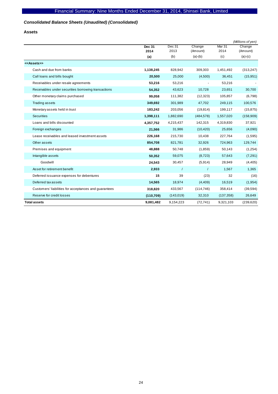## *Consolidated Balance Sheets (Unaudited) (Consolidated)*

**Assets** 

|                                                       |               |            |            |            | (Millions of yen) |
|-------------------------------------------------------|---------------|------------|------------|------------|-------------------|
|                                                       | <b>Dec 31</b> | Dec 31     | Change     | Mar 31     | Change            |
|                                                       | 2014          | 2013       | (Amount)   | 2014       | (Amount)          |
|                                                       | (a)           | (b)        | $(a)-(b)$  | (c)        | $(a)-(c)$         |
| < <assets>&gt;</assets>                               |               |            |            |            |                   |
| Cash and due from banks                               | 1,138,245     | 828,942    | 309,303    | 1,451,492  | (313, 247)        |
| Call loans and bills bought                           | 20,500        | 25,000     | (4,500)    | 36,451     | (15, 951)         |
| Receivables under resale agreements                   | 53,216        | 53,216     |            | 53,216     |                   |
| Receivables under securities borrowing transactions   | 54,352        | 43,623     | 10,728     | 23,651     | 30,700            |
| Other monetary claims purchased                       | 99,058        | 111,382    | (12, 323)  | 105,857    | (6,798)           |
| <b>Trading assets</b>                                 | 349,692       | 301,989    | 47,702     | 249,115    | 100,576           |
| Monetary assets held in trust                         | 183,242       | 203,056    | (19, 814)  | 199,117    | (15, 875)         |
| <b>Securities</b>                                     | 1,398,111     | 1,882,690  | (484, 578) | 1,557,020  | (158,909)         |
| Loans and bills discounted                            | 4,357,752     | 4,215,437  | 142,315    | 4,319,830  | 37,921            |
| Foreign exchanges                                     | 21,566        | 31,986     | (10, 420)  | 25,656     | (4,090)           |
| Lease receivables and leased investment assets        | 226,168       | 215,730    | 10,438     | 227,764    | (1,595)           |
| Other assets                                          | 854,708       | 821,781    | 32,926     | 724,963    | 129,744           |
| Premises and equipment                                | 48,888        | 50,748     | (1,859)    | 50,143     | (1,254)           |
| Intangible assets                                     | 50,352        | 59,075     | (8, 723)   | 57,643     | (7, 291)          |
| Goodwill                                              | 24,543        | 30,457     | (5,914)    | 28,949     | (4, 405)          |
| Asset for retirement benefit                          | 2,933         | $\prime$   | $\prime$   | 1,567      | 1,365             |
| Deferred issuance expenses for debentures             | 15            | 39         | (23)       | 32         | (16)              |
| Deferred tax assets                                   | 14,565        | 18,974     | (4, 409)   | 16,519     | (1, 954)          |
| Customers' liabilities for acceptances and guarantees | 318,820       | 433,567    | (114, 746) | 358,414    | (39, 594)         |
| Reserve for credit losses                             | (110, 709)    | (143, 019) | 32,310     | (137, 358) | 26,649            |
| <b>Total assets</b>                                   | 9,081,482     | 9,154,223  | (72, 741)  | 9,321,103  | (239, 620)        |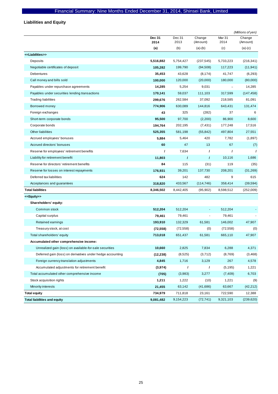# **Liabilities and Equity**

|                                                            |                |                |                    |                   | (Millions of yen)  |
|------------------------------------------------------------|----------------|----------------|--------------------|-------------------|--------------------|
|                                                            | Dec 31<br>2014 | Dec 31<br>2013 | Change<br>(Amount) | Mar 31<br>2014    | Change<br>(Amount) |
|                                                            | (a)            | (b)            | $(a)-(b)$          | (c)               | $(a)-(c)$          |
| < <liabilities>&gt;</liabilities>                          |                |                |                    |                   |                    |
| Deposits                                                   | 5,516,882      | 5,754,427      | (237, 545)         | 5,733,223         | (216, 341)         |
| Negotiable certificates of deposit                         | 105,282        | 199,790        | (94, 508)          | 117,223           | (11, 941)          |
| <b>Debentures</b>                                          | 35,453         | 43,628         | (8, 174)           | 41,747            | (6,293)            |
| Call money and bills sold                                  | 100,000        | 120,000        | (20,000)           | 180,000           | (80,000)           |
| Payables under repurchase agreements                       | 14,285         | 5,254          | 9,031              | $\qquad \qquad -$ | 14,285             |
| Payables under securities lending transactions             | 170,141        | 59,037         | 111,103            | 317,599           | (147, 458)         |
| <b>Trading liabilities</b>                                 | 299,676        | 262,584        | 37,092             | 218,585           | 81,091             |
| Borrowed money                                             | 774,906        | 630,089        | 144,816            | 643,431           | 131,474            |
| Foreign exchanges                                          | 43             | 325            | (282)              | 37                | 6                  |
| Short-term corporate bonds                                 | 95,500         | 97,700         | (2,200)            | 86,900            | 8,600              |
| Corporate bonds                                            | 194,764        | 202,195        | (7, 431)           | 177,248           | 17,516             |
| <b>Other liabilities</b>                                   | 525,355        | 581,198        | (55, 842)          | 497,804           | 27,551             |
| Accrued employees' bonuses                                 | 5,884          | 5,464          | 420                | 7,782             | (1,897)            |
| Accrued directors' bonuses                                 | 60             | 47             | 13                 | 67                | (7)                |
| Reserve for employees' retirement benefits                 | ı              | 7,634          | 1                  | $\prime$          | $\prime$           |
| Liability for retirement benefit                           | 11,803         | $\prime$       | $\prime$           | 10,116            | 1,686              |
| Reserve for directors' retirement benefits                 | 84             | 115            | (31)               | 119               | (35)               |
| Reserve for losses on interest repayments                  | 176,931        | 39,201         | 137,730            | 208,201           | (31, 269)          |
| Deferred tax liabilities                                   | 624            | 142            | 482                | 9                 | 615                |
| Acceptances and guarantees                                 | 318,820        | 433,567        | (114, 746)         | 358,414           | (39, 594)          |
| <b>Total liabilities</b>                                   | 8,346,502      | 8,442,405      | (95, 902)          | 8,598,512         | (252,009)          |
| < <equity>&gt;</equity>                                    |                |                |                    |                   |                    |
| Shareholders' equity:                                      |                |                |                    |                   |                    |
| Common stock                                               | 512,204        | 512,204        |                    | 512,204           |                    |
| Capital surplus                                            | 79,461         | 79,461         | ÷,                 | 79,461            |                    |
| Retained earnings                                          | 193,910        | 132,329        | 61,581             | 146,002           | 47,907             |
| Treasury stock, at cost                                    | (72, 558)      | (72, 558)      | (0)                | (72, 558)         | (0)                |
| Total shareholders' equity                                 | 713,018        | 651,437        | 61,581             | 665,110           | 47,907             |
| Accumulated other comprehensive income:                    |                |                |                    |                   |                    |
| Unrealized gain (loss) on available-for-sale securities    | 10,660         | 2,825          | 7,834              | 6,288             | 4,371              |
| Deferred gain (loss) on derivatives under hedge accounting | (12, 238)      | (8,525)        | (3,712)            | (8,769)           | (3,468)            |
| Foreign currency translation adjustments                   | 4,845          | 1,716          | 3,129              | 267               | 4,578              |
| Accumulated adjustments for retirement benefit             | (3,974)        | $\prime$       | $\prime$           | (5, 195)          | 1,221              |
| Total accumulated other comprehensive income               | (705)          | (3,983)        | 3,277              | (7, 409)          | 6,703              |
| Stock acquisition rights                                   | 1,211          | 1,222          | (10)               | 1,221             | (9)                |
| Minority interests                                         | 21,455         | 63,142         | (41,686)           | 63,667            | (42, 212)          |
| <b>Total equity</b>                                        | 734,979        | 711,818        | 23,161             | 722,590           | 12,388             |
| <b>Total liabilities and equity</b>                        | 9,081,482      | 9,154,223      | (72, 741)          | 9,321,103         | (239, 620)         |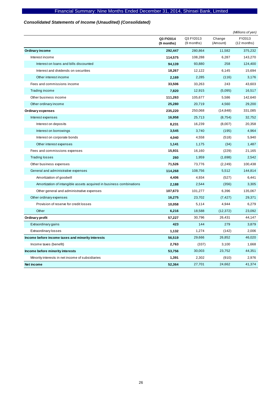## *Consolidated Statements of Income (Unaudited) (Consolidated)*

|                                                                     |                         |                         |                    | (Millions of yen)       |
|---------------------------------------------------------------------|-------------------------|-------------------------|--------------------|-------------------------|
|                                                                     | Q3 FY2014<br>(9 months) | Q3 FY2013<br>(9 months) | Change<br>(Amount) | FY2013<br>$(12$ months) |
| <b>Ordinary income</b>                                              | 292,447                 | 280,864                 | 11,582             | 375,232                 |
| Interest income                                                     | 114,575                 | 108,288                 | 6,287              | 143,270                 |
| Interest on loans and bills discounted                              | 94,139                  | 93,880                  | 258                | 124,400                 |
| Interest and dividends on securities                                | 18,267                  | 12,122                  | 6,145              | 15,694                  |
| Other interest income                                               | 2,169                   | 2,285                   | (116)              | 3,176                   |
| Fees and commissions income                                         | 33,506                  | 33,263                  | 243                | 43,603                  |
| Trading income                                                      | 7,820                   | 12,915                  | (5,095)            | 16,517                  |
| Other business income                                               | 111,263                 | 105,677                 | 5,586              | 142,640                 |
| Other ordinary income                                               | 25,280                  | 20,719                  | 4,560              | 29,200                  |
| Ordinary expenses                                                   | 235,220                 | 250,068                 | (14, 848)          | 331,085                 |
| Interest expenses                                                   | 16,958                  | 25,713                  | (8, 754)           | 32,752                  |
| Interest on deposits                                                | 8,231                   | 16,239                  | (8,007)            | 20,358                  |
| Interest on borrowings                                              | 3,545                   | 3,740                   | (195)              | 4,964                   |
| Interest on corporate bonds                                         | 4,040                   | 4,558                   | (518)              | 5,940                   |
| Other interest expenses                                             | 1,141                   | 1,175                   | (34)               | 1,487                   |
| Fees and commissions expenses                                       | 15,931                  | 16,160                  | (229)              | 21,165                  |
| <b>Trading losses</b>                                               | 260                     | 1,959                   | (1,698)            | 2,542                   |
| Other business expenses                                             | 71,526                  | 73,776                  | (2,249)            | 100,438                 |
| General and administrative expenses                                 | 114,268                 | 108,756                 | 5,512              | 144,814                 |
| Amortization of goodwill                                            | 4,406                   | 4,934                   | (527)              | 6,441                   |
| Amortization of intangible assets acquired in business combinations | 2,188                   | 2,544                   | (356)              | 3,305                   |
| Other general and administrative expenses                           | 107,673                 | 101,277                 | 6,396              | 135,067                 |
| Other ordinary expenses                                             | 16,275                  | 23,702                  | (7, 427)           | 29,371                  |
| Provision of reserve for credit losses                              | 10,058                  | 5,114                   | 4,944              | 6,279                   |
| Other                                                               | 6,216                   | 18,588                  | (12, 372)          | 23,092                  |
| Ordinary profit                                                     | 57,227                  | 30,796                  | 26,431             | 44,147                  |
| Extraordinary gains                                                 | 423                     | 144                     | 279                | 3,879                   |
| <b>Extraordinary losses</b>                                         | 1,132                   | 1,274                   | (142)              | 2,006                   |
| Income before income taxes and minority interests                   | 56,519                  | 29,666                  | 26,852             | 46,020                  |
| Income taxes (benefit)                                              | 2,763                   | (337)                   | 3,100              | 1,668                   |
| Income before minority interests                                    | 53,756                  | 30,003                  | 23,752             | 44,351                  |
| Minority interests in net income of subsidiaries                    | 1,391                   | 2,302                   | (910)              | 2,976                   |
| Net income                                                          | 52.364                  | 27,701                  | 24.662             | 41,374                  |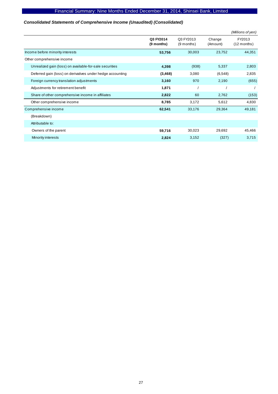## *Consolidated Statements of Comprehensive Income (Unaudited) (Consolidated)*

|                                                            |                         |                           |                    | (Millions of yen)       |
|------------------------------------------------------------|-------------------------|---------------------------|--------------------|-------------------------|
|                                                            | Q3 FY2014<br>(9 months) | Q3 FY2013<br>$(9$ months) | Change<br>(Amount) | FY2013<br>$(12$ months) |
| Income before minority interests                           | 53,756                  | 30,003                    | 23,752             | 44,351                  |
| Other comprehensive income                                 |                         |                           |                    |                         |
| Unrealized gain (loss) on available-for-sale securities    | 4,398                   | (938)                     | 5,337              | 2,803                   |
| Deferred gain (loss) on derivatives under hedge accounting | (3, 468)                | 3,080                     | (6,548)            | 2,835                   |
| Foreign currency translation adjustments                   | 3,160                   | 970                       | 2,190              | (655)                   |
| Adjustments for retirement benefit                         | 1,871                   |                           |                    |                         |
| Share of other comprehensive income in affiliates          | 2,822                   | 60                        | 2,762              | (153)                   |
| Other comprehensive income                                 | 8,785                   | 3,172                     | 5,612              | 4,830                   |
| Comprehensive income                                       | 62,541                  | 33,176                    | 29,364             | 49,181                  |
| (Breakdown)                                                |                         |                           |                    |                         |
| Attributable to:                                           |                         |                           |                    |                         |
| Owners of the parent                                       | 59,716                  | 30,023                    | 29,692             | 45,466                  |
| Minority interests                                         | 2,824                   | 3,152                     | (327)              | 3,715                   |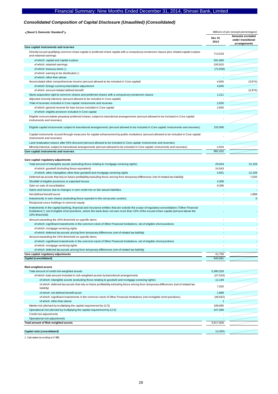## *Consolidated Composition of Capital Disclosure (Unaudited) (Consolidated)*

| <basel 3,="" domestic="" standard<sup="">1&gt;</basel>                                                                                                                                                                                                                                                      | Millions of yen (except percentages) |                                                        |
|-------------------------------------------------------------------------------------------------------------------------------------------------------------------------------------------------------------------------------------------------------------------------------------------------------------|--------------------------------------|--------------------------------------------------------|
|                                                                                                                                                                                                                                                                                                             | Dec 31<br>2014                       | Amounts excluded<br>under transitional<br>arrangements |
| Core capital: instruments and reserves                                                                                                                                                                                                                                                                      |                                      |                                                        |
| Directly issued qualifying common share capital or preferred share capital with a compulsory conversion clause plus related capital surplus<br>and retained earnings                                                                                                                                        | 713,018                              |                                                        |
| of which: capital and capital surplus                                                                                                                                                                                                                                                                       | 591,666                              |                                                        |
| of which: retained earnings                                                                                                                                                                                                                                                                                 | 193,910                              |                                                        |
| of which: treasury stock (-)                                                                                                                                                                                                                                                                                | (72, 558)                            |                                                        |
| of which: earning to be distributed (-)                                                                                                                                                                                                                                                                     |                                      |                                                        |
| of which: other than above                                                                                                                                                                                                                                                                                  |                                      |                                                        |
| Accumulated other comprehensive income (amount allowed to be included in Core capital)                                                                                                                                                                                                                      | 4,845                                | (3,974)                                                |
| of which: foreign currency translation adjustment                                                                                                                                                                                                                                                           | 4,845                                |                                                        |
| of which: amount related defined benefit                                                                                                                                                                                                                                                                    |                                      | (3,974)                                                |
| Stock acquisition right to common shares and preferred shares with a compulsory conversion clause                                                                                                                                                                                                           | 1,211                                |                                                        |
| Adjusted minority interests (amount allowed to be included in Core capital)                                                                                                                                                                                                                                 |                                      |                                                        |
| Total of reserves included in Core capital: instruments and reserves                                                                                                                                                                                                                                        | 2,835                                |                                                        |
| of which: general reserve for loan losses included in Core capital                                                                                                                                                                                                                                          | 2,835                                |                                                        |
| of which: eligible provision included in Core capital                                                                                                                                                                                                                                                       |                                      |                                                        |
| Eligible noncumulative perpetual preferred shares subject to transitional arrangements (amount allowed to be included in Core capital:<br>instruments and reserves)                                                                                                                                         |                                      |                                                        |
| Eligible capital instruments subject to transitional arrangements (amount allowed to be included in Core capital: instruments and reserves)                                                                                                                                                                 | 155,966                              |                                                        |
| Capital instruments issued through measures for capital enhancement by public institutions (amount allowed to be included in Core capital:<br>instruments and reserves)                                                                                                                                     |                                      |                                                        |
| Land revaluation excess after 55% discount (amount allowed to be included in Core capital: instruments and reserves)                                                                                                                                                                                        |                                      |                                                        |
| Minority interests subject to transitional arrangements (amount allowed to be included in Core capital: instruments and reserves)                                                                                                                                                                           | 4,554                                |                                                        |
| Core capital: instruments and reserves                                                                                                                                                                                                                                                                      | 882.432                              |                                                        |
|                                                                                                                                                                                                                                                                                                             |                                      |                                                        |
| Core capital: regulatory adjustments                                                                                                                                                                                                                                                                        |                                      |                                                        |
| Total amount of intangible assets (excluding those relating to mortgage servicing rights)                                                                                                                                                                                                                   | 29,044                               | 12,109                                                 |
| of which: goodwill (including those equivalent)                                                                                                                                                                                                                                                             | 24,543                               |                                                        |
| of which: other intangibles other than goodwill and mortgage servicing rights                                                                                                                                                                                                                               | 4,501                                | 12,109                                                 |
| Deferred tax assets that rely on future profitability excluding those arising from temporary differences (net of related tax liability)                                                                                                                                                                     | $\overline{\phantom{a}}$             | 7,020                                                  |
| Shortfall of eligible provisions to expected losses                                                                                                                                                                                                                                                         | 3,309                                |                                                        |
| Gain on sale of securitization                                                                                                                                                                                                                                                                              | 9,396                                |                                                        |
| Gains and losses due to changes in own credit risk on fair valued liabilities                                                                                                                                                                                                                               |                                      |                                                        |
| Net defined benefit asset                                                                                                                                                                                                                                                                                   |                                      | 1,888                                                  |
| Investments in own shares (excluding those reported in the net assets section)                                                                                                                                                                                                                              |                                      | $\mathbf 0$                                            |
| Reciprocal cross-holdings in common equity                                                                                                                                                                                                                                                                  |                                      |                                                        |
| Investments in the capital banking, financial and insurance entities that are outside the scope of regulatory consolidation ("Other Financial<br>Institutions"), net of eligible short positions, where the bank does not own more than 10% of the issued share capital (amount above the<br>10% threshold) |                                      |                                                        |
| Amount exceeding the 10% threshold on specific items                                                                                                                                                                                                                                                        |                                      |                                                        |
| of which: significant investments in the common stock of Other Financial Institutions, net of eligible short positions                                                                                                                                                                                      |                                      |                                                        |
| of which: mortgage servicing rights                                                                                                                                                                                                                                                                         |                                      |                                                        |
| of which: deferred tax assets arising from temporary differences (net of related tax liability)                                                                                                                                                                                                             |                                      |                                                        |
| Amount exceeding the 15% threshold on specific items                                                                                                                                                                                                                                                        |                                      |                                                        |
| of which: significant investments in the common stock of Other Financial Institutions, net of eligible short positions                                                                                                                                                                                      |                                      |                                                        |
| of which: mortgage servicing rights                                                                                                                                                                                                                                                                         |                                      |                                                        |
| of which: deferred tax assets arising from temporary differences (net of related tax liability)                                                                                                                                                                                                             |                                      |                                                        |
| Core capital: regulatory adjustments                                                                                                                                                                                                                                                                        | 41,750                               |                                                        |
| Capital (consolidated)                                                                                                                                                                                                                                                                                      | 840,681                              |                                                        |
|                                                                                                                                                                                                                                                                                                             |                                      |                                                        |
| <b>Risk-weighted assets</b>                                                                                                                                                                                                                                                                                 |                                      |                                                        |
| Total amount of credit risk-weighted assets                                                                                                                                                                                                                                                                 | 5,380,329                            |                                                        |
| of which: total amount included in risk-weighted assets by transitional arrangements                                                                                                                                                                                                                        | (27, 543)                            |                                                        |
| of which: intangible assets (excluding those relating to goodwill and mortgage servicing rights)                                                                                                                                                                                                            | 12,109                               |                                                        |
| of which: deferred tax assets that rely on future profitability excluding those arising from temporary differences (net of related tax<br>liability)                                                                                                                                                        | 7,020                                |                                                        |
| of which: net defined benefit asset                                                                                                                                                                                                                                                                         | 1,888                                |                                                        |
| of which: significant investments in the common stock of Other Financial Institutions (net of eligible short positions)                                                                                                                                                                                     | (48, 562)                            |                                                        |
| of which: other than above                                                                                                                                                                                                                                                                                  | 1                                    |                                                        |
| Market risk (derived by multiplying the capital requirement by 12.5)                                                                                                                                                                                                                                        | 189,685                              |                                                        |
| Operational risk (derived by multiplying the capital requirement by 12.5)                                                                                                                                                                                                                                   | 347,586                              |                                                        |
| Credit risk adjustments                                                                                                                                                                                                                                                                                     |                                      |                                                        |
| Operational risk adjustments                                                                                                                                                                                                                                                                                |                                      |                                                        |
| <b>Total amount of Risk-weighted assets</b>                                                                                                                                                                                                                                                                 | 5,917,600                            |                                                        |
|                                                                                                                                                                                                                                                                                                             |                                      |                                                        |
| Capital ratio (consolidated)                                                                                                                                                                                                                                                                                | 14.20%                               |                                                        |

1. Calculated according to F-IRB.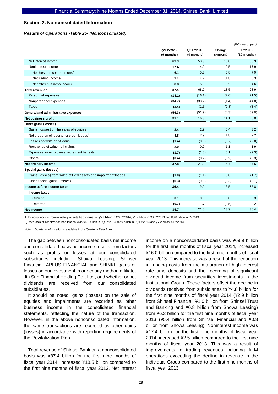#### **Section 2. Nonconsolidated Information**

#### *Results of Operations -Table 25- (Nonconsolidated)*

|                                                                 | (Billions of yen)       |                         |                    |                         |
|-----------------------------------------------------------------|-------------------------|-------------------------|--------------------|-------------------------|
|                                                                 | Q3 FY2014<br>(9 months) | Q3 FY2013<br>(9 months) | Change<br>(Amount) | FY2013<br>$(12$ months) |
| Net interest income                                             | 69.9                    | 53.9                    | 16.0               | 80.9                    |
| Noninterest income                                              | 17.4                    | 14.9                    | 2.5                | 17.9                    |
| Net fees and commissions <sup>1</sup>                           | 6.1                     | 5.3                     | 0.8                | 7.9                     |
| Net trading income                                              | 2.4                     | 4.2                     | (1.8)              | 5.3                     |
| Net other business income                                       | 8.8                     | 5.3                     | 3.5                | 4.6                     |
| Total revenue <sup>1</sup>                                      | 87.4                    | 68.9                    | 18.5               | 98.9                    |
| Personnel expenses                                              | (18.1)                  | (16.1)                  | (2.0)              | (21.5)                  |
| Nonpersonnel expenses                                           | (34.7)                  | (33.2)                  | (1.4)              | (44.0)                  |
| <b>Taxes</b>                                                    | (3.4)                   | (2.5)                   | (0.8)              | (3.4)                   |
| General and administrative expenses                             | (56.3)                  | (51.9)                  | (4.3)              | (69.0)                  |
| Net business profit <sup>1</sup>                                | 31.1                    | 16.9                    | 14.1               | 29.8                    |
| Other gains (losses)                                            |                         |                         |                    |                         |
| Gains (losses) on the sales of equities                         | 3.4                     | 2.9                     | 0.4                | 3.2                     |
| Net provision of reserve for credit losses <sup>2</sup>         | 4.8                     | 2.9                     | 1.8                | 7.2                     |
| Losses on write-off of loans                                    | (1.4)                   | (0.6)                   | (0.7)              | (2.0)                   |
| Recoveries of written-off claims                                | 2.0                     | 0.9                     | 1.1                | 1.9                     |
| Expenses for employees' retirement benefits                     | (1.7)                   | (1.8)                   | 0.1                | (2.3)                   |
| <b>Others</b>                                                   | (0.4)                   | (0.2)                   | (0.2)              | (0.3)                   |
| Net ordinary income                                             | 37.8                    | 21.0                    | 16.7               | 37.6                    |
| Special gains (losses)                                          |                         |                         |                    |                         |
| Gains (losses) from sales of fixed assets and impairment losses | (1.0)                   | (1.1)                   | 0.0                | (1.7)                   |
| Other special gains (losses)                                    | (0.3)                   | (0.0)                   | (0.3)              | (0.1)                   |
| Income before income taxes                                      | 36.4                    | 19.9                    | 16.5               | 35.8                    |
| Income taxes                                                    |                         |                         |                    |                         |
| Current                                                         | 0.1                     | 0.0                     | 0.0                | 0.3                     |
| Deferred                                                        | (0.7)                   | 1.7                     | (2.5)              | 0.2                     |
| <b>Net income</b>                                               | 35.7                    | 21.8                    | 13.9               | 36.4                    |

1. Includes income from monetary assets held in trust of \5.9 billion in Q3 FY2014, \1.2 billion in Q3 FY2013 and \3.8 billion in FY2013.

2. Reversals of reserve for loan losses w as  $\frac{4.8}{1000}$  billion in 3Q FY2014,  $\frac{1}{2.9}$  billion in 3Q FY2013 and  $\frac{1}{27.2}$  billion in FY2013.

Note 1: Quarterly information is available in the Quarterly Data Book.

The gap between nonconsolidated basis net income and consolidated basis net income results from factors such as profits or losses at our consolidated subsidiaries including Showa Leasing, Shinsei Financial, APLUS FINANCIAL and SHINKI, gains or losses on our investment in our equity method affiliate, Jih Sun Financial Holding Co., Ltd., and whether or not dividends are received from our consolidated subsidiaries.

It should be noted, gains (losses) on the sale of equities and impairments are recorded as other business income in the consolidated financial statements, reflecting the nature of the transaction. However, in the above nonconsolidated information, the same transactions are recorded as other gains (losses) in accordance with reporting requirements of the Revitalization Plan.

Total revenue of Shinsei Bank on a nonconsolidated basis was ¥87.4 billion for the first nine months of fiscal year 2014, increased ¥18.5 billion compared to the first nine months of fiscal year 2013. Net interest income on a nonconsolidated basis was ¥69.9 billion for the first nine months of fiscal year 2014, increased ¥16.0 billion compared to the first nine months of fiscal year 2013. This increase was a result of the reduction in funding costs from the maturation of high interest rate time deposits and the recording of significant dividend income from securities investments in the Institutional Group. These factors offset the decline in dividends received from subsidiaries to ¥4.8 billion for the first nine months of fiscal year 2014 (¥2.9 billion from Shinsei Financial, ¥1.0 billion from Shinsei Trust and Banking and ¥0.8 billion from Showa Leasing) from ¥6.3 billion for the first nine months of fiscal year 2013 (¥5.4 billion from Shinsei Financial and ¥0.8 billion from Showa Leasing). Noninterest income was ¥17.4 billion for the first nine months of fiscal year 2014, increased ¥2.5 billion compared to the first nine months of fiscal year 2013. This was a result of improvements in trading revenues including ALM operations exceeding the decline in revenue in the Individual Group compared to the first nine months of fiscal year 2013.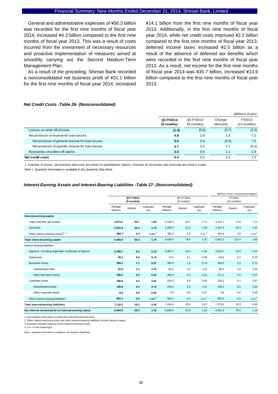General and administrative expenses of ¥56.3 billion was recorded for the first nine months of fiscal year 2014, increased ¥4.3 billion compared to the first nine months of fiscal year 2013. This was a result of costs incurred from the investment of necessary resources and proactive implementation of measures aimed at smoothly carrying out the Second Medium-Term Management Plan.

As a result of the preceding, Shinsei Bank recorded a nonconsolidated net business profit of ¥31.1 billion for the first nine months of fiscal year 2014, increased

¥14.1 billion from the first nine months of fiscal year 2013. Additionally, in the first nine months of fiscal year 2014, while net credit costs improved ¥2.2 billion compared to the first nine months of fiscal year 2013, deferred income taxes increased ¥2.5 billion as a result of the absence of deferred tax benefits which were recorded in the first nine months of fiscal year 2013. As a result, net income for the first nine months of fiscal year 2014 was ¥35.7 billion, increased ¥13.9 billion compared to the first nine months of fiscal year 2013.

#### *Net Credit Costs -Table 26- (Nonconsolidated)*

|                                                   |                         |                           |                    | (Billions of yen)       |
|---------------------------------------------------|-------------------------|---------------------------|--------------------|-------------------------|
|                                                   | Q3 FY2014<br>(9 months) | Q3 FY2013<br>$(9$ months) | Change<br>(Amount) | FY2013<br>$(12$ months) |
| Losses on write-off of loans                      | (1.4)                   | (0.6)                     | (0.7)              | (2.0)                   |
| Net provision of reserve for loan losses          | 4.8                     | 2.9                       | 1.8                | 7.2                     |
| Net provision of general reserve for loan losses  | 0.0                     | 0.9                       | (0.8)              | 7.5                     |
| Net provision of specific reserve for loan losses | 4.7                     | 2.0                       | 2.7                | (0.2)                   |
| Recoveries of written-off claims                  | 2.0                     | 0.9                       | 1.1                | 1.9                     |
| Net credit costs                                  | 5.4                     | 3.2                       | 2.2                | 7.2                     |

1. Amounts of losses, net provision and costs are show n in parentheses (minus). Amounts of recoveries and reversals are show n in plus.

Note 1: Quarterly information is available in the Quarterly Data Book.

#### *Interest-Earning Assets and Interest-Bearing Liabilities -Table 27- (Nonconsolidated)*

|                                                        |                    |                         |                                |                    |                         |                                 |                    |                       | (Billions of yen, except percentages) |  |
|--------------------------------------------------------|--------------------|-------------------------|--------------------------------|--------------------|-------------------------|---------------------------------|--------------------|-----------------------|---------------------------------------|--|
|                                                        |                    | Q3 FY2014<br>(9 months) |                                |                    | Q3 FY2013<br>(9 months) |                                 |                    | FY2013<br>(12 months) |                                       |  |
|                                                        | Average<br>balance | Interest                | Yield/rate <sup>1</sup><br>(%) | Average<br>balance | Interest                | Yield/rate <sup>1</sup><br>(% ) | Average<br>balance | Interest              | Yield/rate <sup>1</sup><br>(% )       |  |
| Interest-earning assets:                               |                    |                         |                                |                    |                         |                                 |                    |                       |                                       |  |
| Loans and bills discounted                             | 4.073.2            | 56.7                    | 1.84                           | 4.149.3            | 53.7                    | 1.71                            | 4.141.7            | 71.8                  | 1.73                                  |  |
| <b>Securities</b>                                      | 2,021.9            | 26.3                    | 1.73                           | 2,296.6            | 22.2                    | 1.28                            | 2,267.6            | 36.9                  | 1.62                                  |  |
| Other interest-earning assets <sup>2, 3</sup>          | 369.7              | 2.4                     | n.m. <sup>4</sup>              | 392.0              | 2.6                     | n.m. <sup>4</sup>               | 391.6              | 3.6                   | n.m. <sup>4</sup>                     |  |
| <b>Total interest-earning assets</b>                   | 6,464.9            | 85.6                    | 1.75                           | 6,838.0            | 78.6                    | 1.52                            | 6,801.0            | 112.4                 | 1.65                                  |  |
| Interest-bearing liabilities:                          |                    |                         |                                |                    |                         |                                 |                    |                       |                                       |  |
| Deposits, including negotiable certificates of deposit | 5,789.7            | 8.3                     | 0.19                           | 5,997.3            | 16.4                    | 0.36                            | 6.016.7            | 20.6                  | 0.34                                  |  |
| Debentures                                             | 39.1               | 0.0                     | 0.13                           | 72.0               | 0.1                     | 0.25                            | 64.8               | 0.1                   | 0.23                                  |  |
| Borrowed money                                         | 399.1              | 1.7                     | 0.57                           | 356.4              | 1.9                     | 0.73                            | 359.5              | 2.5                   | 0.71                                  |  |
| Subordinated debt                                      | 62.8               | 1.3                     | 2.76                           | 90.3               | 1.5                     | 2.22                            | 88.3               | 1.9                   | 2.25                                  |  |
| Other borrowed money                                   | 336.2              | 0.4                     | 0.16                           | 266.0              | 0.4                     | 0.22                            | 271.1              | 0.5                   | 0.21                                  |  |
| Corporate bonds                                        | 198.9              | 5.4                     | 3.62                           | 234.3              | 6.9                     | 3.93                            | 235.2              | 9.1                   | 3.87                                  |  |
| Subordinated bonds                                     | 190.8              | 5.4                     | 3.76                           | 229.4              | 6.9                     | 4.01                            | 230.3              | 9.0                   | 3.94                                  |  |
| Other corporate bonds                                  | 8.0                | 0.0                     | 0.26                           | 4.9                | 0.0                     | 0.27                            | 4.8                | 0.0                   | 0.26                                  |  |
| Other interest-bearing liabilities <sup>2</sup>        | 691.4              | 0.6                     | n.m. <sup>4</sup>              | 584.2              | 0.3                     | n.m. <sup>4</sup>               | 602.9              | 0.5                   | n.m. <sup>4</sup>                     |  |
| <b>Total interest-bearing liabilities</b>              | 7,118.3            | 16.2                    | 0.30                           | 7,244.4            | 25.8                    | 0.47                            | 7,279.5            | 32.9                  | 0.45                                  |  |
| Net interest income/yield on interest-earning assets   | 6.464.9            | 69.3                    | 1.42                           | 6,838.0            | 52.8                    | 1.02                            | 6,801.0            | 79.5                  | 1.16                                  |  |

1. Percentages have been rounded from the thrid decimal place.

2. Other interest-earning assets and other interest-bearing liabilities include interest swaps.

3. Excludes average balance of non interest-earning assets. 4. n.m. is not meaningful.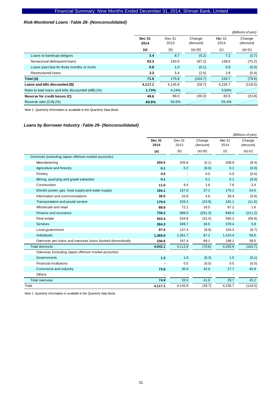#### *Risk-Monitored Loans -Table 28- (Nonconsolidated)*

|                                                     |                |                |                    |                | (Billions of yen)  |
|-----------------------------------------------------|----------------|----------------|--------------------|----------------|--------------------|
|                                                     | Dec 31<br>2014 | Dec 31<br>2013 | Change<br>(Amount) | Mar 31<br>2014 | Change<br>(Amount) |
|                                                     | (a)            | (b)            | $(a)-(b)$          | (c)            | $(a)-(c)$          |
| Loans to bankrupt obligors                          | 3.4            | 8.7            | (5.2)              | 7.2            | (3.7)              |
| Nonaccrual delinquent loans                         | 63.3           | 160.5          | (97.2)             | 138.6          | (75.2)             |
| Loans past due for three months or more             | 0.8            | 1.0            | (0.1)              | 0.9            | (0.0)              |
| <b>Restructured loans</b>                           | 3.3            | 5.4            | (2.0)              | 3.8            | (0.4)              |
| Total (A)                                           | 71.0           | 175.8          | (104.7)            | 150.7          | (79.6)             |
| Loans and bills discounted (B)                      | 4,117.1        | 4.145.8        | (28.7)             | 4,235.7        | (118.5)            |
| Ratio to total loans and bills discounted (A/B) (%) | 1.73%          | 4.24%          |                    | 3.56%          |                    |
| Reserve for credit losses (C)                       | 49.6           | 89.0           | (39.3)             | 83.5           | (33.8)             |
| Reserve ratio (C/A) (%)                             | 69.9%          | 50.6%          |                    | 55.4%          |                    |

Note 1: Quarterly information is available in the Quarterly Data Book.

#### *Loans by Borrower Industry -Table 29- (Nonconsolidated)*

|                                                           |                |                |                    |                          | (Billions of yen)  |
|-----------------------------------------------------------|----------------|----------------|--------------------|--------------------------|--------------------|
|                                                           | Dec 31<br>2014 | Dec 31<br>2013 | Change<br>(Amount) | Mar 31<br>2014           | Change<br>(Amount) |
|                                                           | (a)            | (b)            | $(a)-(b)$          | (c)                      | $(a)-(c)$          |
| Domestic (excluding Japan offshore market accounts):      |                |                |                    |                          |                    |
| Manufacturing                                             | 200.5          | 205.6          | (5.1)              | 208.9                    | (8.4)              |
| Agriculture and forestry                                  | 0.1            | 0.2            | (0.0)              | 0.1                      | (0.0)              |
| Fishery                                                   | 0.0            |                | 0.0                | 0.0                      | (0.0)              |
| Mining, quarrying and gravel extraction                   | 0.1            |                | 0.1                | 0.1                      | (0.0)              |
| Construction                                              | 11.0           | 9.4            | 1.6                | 7.6                      | 3.4                |
| Electric power, gas, heat supply and water supply         | 194.1          | 157.0          | 37.1               | 170.1                    | 24.0               |
| Information and communications                            | 38.5           | 33.8           | 4.6                | 39.4                     | (0.9)              |
| Transportation and postal service                         | 179.5          | 203.4          | (23.9)             | 191.1                    | (11.6)             |
| Wholesale and retail                                      | 88.8           | 72.2           | 16.5               | 87.2                     | 1.6                |
| Finance and insurance                                     | 738.2          | 989.5          | (251.3)            | 949.4                    | (211.2)            |
| Real estate                                               | 503.4          | 534.8          | (31.4)             | 560.2                    | (56.8)             |
| <b>Services</b>                                           | 384.3          | 349.7          | 34.5               | 378.4                    | 5.8                |
| Local government                                          | 97.5           | 107.4          | (9.9)              | 104.3                    | (6.7)              |
| <b>Individuals</b>                                        | 1,369.0        | 1,281.7        | 87.2               | 1,310.4                  | 58.5               |
| Overseas yen loans and overseas loans booked domestically | 236.6          | 167.4          | 69.1               | 198.1                    | 38.5               |
| <b>Total domestic</b>                                     | 4,042.1        | 4,112.8        | (70.6)             | 4,205.9                  | (163.7)            |
| Overseas (including Japan offshore market accounts):      |                |                |                    |                          |                    |
| Governments                                               | 1.3            | 1.6            | (0.3)              | 1.5                      | (0.1)              |
| <b>Financial institutions</b>                             |                | 0.5            | (0.5)              | 0.5                      | (0.5)              |
| Commerce and industry                                     | 73.6           | 30.8           | 42.8               | 27.7                     | 45.9               |
| Others                                                    |                |                |                    | $\overline{\phantom{a}}$ |                    |
| <b>Total overseas</b>                                     | 74.9           | 33.0           | 41.9               | 29.7                     | 45.2               |
| Total                                                     | 4,117.1        | 4,145.8        | (28.7)             | 4,235.7                  | (118.5)            |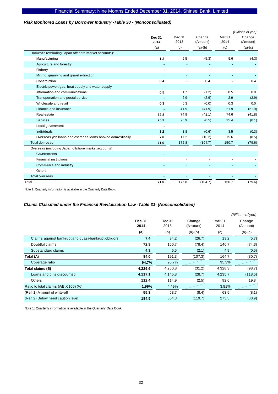## *Risk Monitored Loans by Borrower Industry -Table 30 - (Nonconsolidated)*

|                                                           |                       |                          |                          |                          | (Billions of yen)  |
|-----------------------------------------------------------|-----------------------|--------------------------|--------------------------|--------------------------|--------------------|
|                                                           | <b>Dec 31</b><br>2014 | Dec 31<br>2013           | Change<br>(Amount)       | Mar 31<br>2014           | Change<br>(Amount) |
|                                                           | (a)                   | (b)                      | $(a)-(b)$                | (c)                      | $(a)-(c)$          |
| Domestic (excluding Japan offshore market accounts):      |                       |                          |                          |                          |                    |
| Manufacturing                                             | $1.2$                 | 6.5                      | (5.3)                    | 5.6                      | (4.3)              |
| Agriculture and forestry                                  |                       |                          |                          |                          |                    |
| Fishery                                                   |                       |                          |                          |                          |                    |
| Mining, quarrying and gravel extraction                   |                       |                          |                          | $\overline{\phantom{a}}$ |                    |
| Construction                                              | 0.4                   |                          | 0.4                      |                          | 0.4                |
| Electric power, gas, heat supply and water supply         |                       | $\overline{\phantom{a}}$ | $\overline{\phantom{a}}$ | ٠                        |                    |
| Information and communications                            | 0.5                   | 1.7                      | (1.2)                    | 0.5                      | 0.0                |
| Transportation and postal service                         |                       | 2.9                      | (2.9)                    | 2.9                      | (2.9)              |
| Wholesale and retail                                      | 0.3                   | 0.3                      | (0.0)                    | 0.3                      | 0.0                |
| Finance and insurance                                     |                       | 41.9                     | (41.9)                   | 21.9                     | (21.9)             |
| Real estate                                               | 32.8                  | 74.9                     | (42.1)                   | 74.6                     | (41.8)             |
| Services                                                  | 25.3                  | 25.9                     | (0.5)                    | 25.4                     | (0.1)              |
| Local government                                          |                       |                          |                          |                          |                    |
| <b>Individuals</b>                                        | 3.2                   | 3.8                      | (0.6)                    | 3.5                      | (0.3)              |
| Overseas yen loans and overseas loans booked domestically | 7.0                   | 17.2                     | (10.2)                   | 15.6                     | (8.5)              |
| <b>Total domestic</b>                                     | 71.0                  | 175.8                    | (104.7)                  | 150.7                    | (79.6)             |
| Overseas (including Japan offshore market accounts):      |                       |                          |                          |                          |                    |
| Governments                                               |                       |                          |                          |                          |                    |
| <b>Financial institutions</b>                             |                       |                          |                          |                          |                    |
| Commerce and industry                                     |                       |                          |                          |                          |                    |
| Others                                                    |                       |                          |                          |                          |                    |
| <b>Total overseas</b>                                     |                       |                          |                          |                          |                    |
| Total                                                     | 71.0                  | 175.8                    | (104.7)                  | 150.7                    | (79.6)             |

Note 1: Quarterly information is available in the Quarterly Data Book.

## *Claims Classified under the Financial Revitalization Law -Table 31- (Nonconsolidated)*

|                                                     |                       |                |                    |                | (Billions of yen)  |
|-----------------------------------------------------|-----------------------|----------------|--------------------|----------------|--------------------|
|                                                     | <b>Dec 31</b><br>2014 | Dec 31<br>2013 | Change<br>(Amount) | Mar 31<br>2014 | Change<br>(Amount) |
|                                                     | (a)                   | (b)            | $(a)-(b)$          | (c)            | $(a)-(c)$          |
| Claims against bankrupt and quasi-bankrupt obligors | 7.4                   | 34.2           | (26.7)             | 13.2           | (5.7)              |
| Doubtful claims                                     | 72.3                  | 150.7          | (78.4)             | 146.7          | (74.3)             |
| Substandard claims                                  | 4.3                   | 6.5            | (2.1)              | 4.9            | (0.5)              |
| Total (A)                                           | 84.0                  | 191.3          | (107.3)            | 164.7          | (80.7)             |
| Coverage ratio                                      | 94.7%                 | 95.7%          |                    | 95.3%          |                    |
| Total claims (B)                                    | 4,229.6               | 4,260.8        | (31.2)             | 4,328.3        | (98.7)             |
| Loans and bills discounted                          | 4,117.1               | 4,145.8        | (28.7)             | 4,235.7        | (118.5)            |
| <b>Others</b>                                       | 112.4                 | 114.9          | (2.5)              | 92.6           | 19.8               |
| Ratio to total claims (A/B X 100) (%)               | 1.99%                 | 4.49%          |                    | 3.81%          |                    |
| (Ref. 1) Amount of write-off                        | 55.3                  | 63.7           | (8.4)              | 63.5           | (8.1)              |
| (Ref. 2) Below need caution level                   | 184.5                 | 304.3          | (119.7)            | 273.5          | (88.9)             |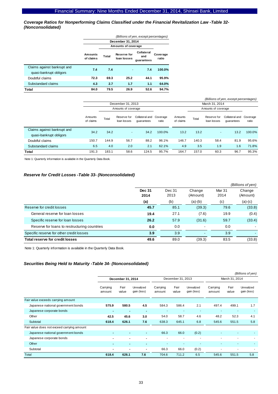*Coverage Ratios for Nonperforming Claims Classified under the Financial Revitalization Law -Table 32- (Nonconsolidated)* 

|                                                        | (Billions of yen, except percentages) |                               |                                   |                                 |                   |  |  |  |  |
|--------------------------------------------------------|---------------------------------------|-------------------------------|-----------------------------------|---------------------------------|-------------------|--|--|--|--|
|                                                        |                                       |                               | December 31, 2014                 |                                 |                   |  |  |  |  |
|                                                        |                                       | Amounts of coverage           |                                   |                                 |                   |  |  |  |  |
|                                                        | Amounts<br>of claims                  | Total                         | <b>Reserve for</b><br>loan losses | Collateral<br>and<br>quarantees | Coverage<br>ratio |  |  |  |  |
| Claims against bankrupt and<br>quasi-bankrupt obligors | 7.4                                   | 7.4                           | ٠                                 | 7.4                             | 100.0%            |  |  |  |  |
| Doubtful claims                                        | 72.3                                  | 69.3                          | 25.2                              | 44.1                            | 95.9%             |  |  |  |  |
| Substandard claims                                     | 4.3                                   | 2.7                           | 1.7                               | 1.1                             | 64.0%             |  |  |  |  |
| Total                                                  | 84.0                                  | 94.7%<br>26.9<br>79.5<br>52.6 |                                   |                                 |                   |  |  |  |  |

| (Billions of yen, except percentages)                  |                      |                     |                            |                              |                   |                      |       |                            |                              |                   |
|--------------------------------------------------------|----------------------|---------------------|----------------------------|------------------------------|-------------------|----------------------|-------|----------------------------|------------------------------|-------------------|
|                                                        | December 31, 2013    |                     |                            |                              |                   |                      |       | March 31, 2014             |                              |                   |
|                                                        |                      | Amounts of coverage |                            |                              |                   |                      |       | Amounts of coverage        |                              |                   |
|                                                        | Amounts<br>of claims | Total               | Reserve for<br>loan losses | Collateral and<br>quarantees | Coverage<br>ratio | Amounts<br>of claims | Total | Reserve for<br>loan losses | Collateral and<br>quarantees | Coverage<br>ratio |
| Claims against bankrupt and<br>quasi-bankrupt obligors | 34.2                 | 34.2                | $\sim$                     | 34.2                         | 100.0%            | 13.2                 | 13.2  | $\sim$                     | 13.2                         | 100.0%            |
| Doubtful claims                                        | 150.7                | 144.9               | 56.7                       | 88.2                         | 96.1%             | 146.7                | 140.3 | 58.4                       | 81.9                         | 95.6%             |
| Substandard claims                                     | 6.5                  | 4.0                 | 2.0                        | 2.1                          | 62.1%             | 4.9                  | 3.5   | 1.9                        | 1.6                          | 71.8%             |
| Total                                                  | 191.3                | 183.1               | 58.6                       | 124.5                        | 95.7%             | 164.7                | 157.0 | 60.3                       | 96.7                         | 95.3%             |

Note 1: Quarterly information is available in the Quarterly Data Book.

#### *Reserve for Credit Losses -Table 33- (Nonconsolidated)*

|                                              |                       |                |                    |                | (Billions of yen)  |
|----------------------------------------------|-----------------------|----------------|--------------------|----------------|--------------------|
|                                              | <b>Dec 31</b><br>2014 | Dec 31<br>2013 | Change<br>(Amount) | Mar 31<br>2014 | Change<br>(Amount) |
|                                              | (a)                   | (b)            | $(a)-(b)$          | (c)            | $(a)-(c)$          |
| Reserve for credit losses                    | 45.7                  | 85.1           | (39.3)             | 79.6           | (33.8)             |
| General reserve for loan losses              | 19.4                  | 27.1           | (7.6)              | 19.9           | (0.4)              |
| Specific reserve for loan losses             | 26.2                  | 57.9           | (31.6)             | 59.7           | (33.4)             |
| Reserve for loans to restructuring countries | 0.0                   | 0.0            |                    | 0.0            |                    |
| Specific reserve for other credit losses     | 3.9                   | 3.9            |                    | 3.9            |                    |
| Total reserve for credit losses              | 49.6                  | 89.0           | (39.3)             | 83.5           | (33.8)             |

Note 1: Quarterly information is available in the Quarterly Data Book.

## *Securities Being Held to Maturity -Table 34- (Nonconsolidated)*

|                                            |                          |               |                           |                    |                   |                           |                    |                          | (Billions of yen)         |  |
|--------------------------------------------|--------------------------|---------------|---------------------------|--------------------|-------------------|---------------------------|--------------------|--------------------------|---------------------------|--|
|                                            | December 31, 2014        |               |                           |                    | December 31, 2013 |                           |                    | March 31, 2014           |                           |  |
|                                            | Carrying<br>amount       | Fair<br>value | Unrealized<br>gain (loss) | Carrying<br>amount | Fair<br>value     | Unrealized<br>gain (loss) | Carrying<br>amount | Fair<br>value            | Unrealized<br>gain (loss) |  |
| Fair value exceeds carrying amount         |                          |               |                           |                    |                   |                           |                    |                          |                           |  |
| Japanese national government bonds         | 575.9                    | 580.5         | 4.5                       | 584.3              | 586.4             | 2.1                       | 497.4              | 499.1                    | 1.7                       |  |
| Japanese corporate bonds                   | $\blacksquare$           |               | $\overline{\phantom{a}}$  |                    |                   |                           |                    |                          |                           |  |
| Other                                      | 42.5                     | 45.6          | 3.0                       | 54.0               | 58.7              | 4.6                       | 48.2               | 52.3                     | 4.1                       |  |
| Subtotal                                   | 618.4                    | 626.1         | 7.6                       | 638.3              | 645.1             | 6.8                       | 545.6              | 551.5                    | 5.8                       |  |
| Fair value does not exceed carrying amount |                          |               |                           |                    |                   |                           |                    |                          |                           |  |
| Japanese national government bonds         | $\blacksquare$           |               | $\blacksquare$            | 66.3               | 66.0              | (0.2)                     |                    |                          |                           |  |
| Japanese corporate bonds                   | $\blacksquare$           |               | $\blacksquare$            | ٠                  |                   | $\overline{\phantom{a}}$  |                    | $\overline{\phantom{a}}$ |                           |  |
| Other                                      | $\overline{\phantom{0}}$ |               | $\blacksquare$            |                    |                   | ٠                         |                    | $\overline{\phantom{a}}$ |                           |  |
| Subtotal                                   | $\blacksquare$           |               | $\blacksquare$            | 66.3               | 66.0              | (0.2)                     |                    | $\overline{\phantom{a}}$ |                           |  |
| Total                                      | 618.4                    | 626.1         | 7.6                       | 704.6              | 711.2             | 6.5                       | 545.6              | 551.5                    | 5.8                       |  |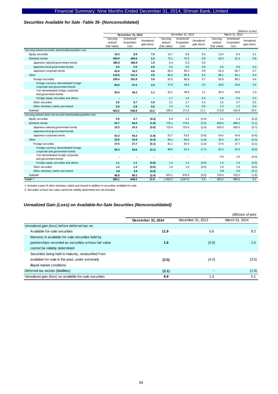#### *Securities Available for Sale -Table 35- (Nonconsolidated)*

|                                                                        |                                    |                                   |                           |                                    |                                   |                           | (Billions of yen)                  |                                   |                           |
|------------------------------------------------------------------------|------------------------------------|-----------------------------------|---------------------------|------------------------------------|-----------------------------------|---------------------------|------------------------------------|-----------------------------------|---------------------------|
|                                                                        |                                    | December 31, 2014                 |                           |                                    | December 31, 2013                 |                           | March 31, 2014                     |                                   |                           |
|                                                                        | Carrying<br>amount<br>(fair value) | Amortized/<br>Acquisition<br>cost | Unrealized<br>gain (loss) | Carrying<br>amount<br>(fair value) | Amortized/<br>Acquisition<br>cost | Unrealized<br>gain (loss) | Carrying<br>amount<br>(fair value) | Amortized/<br>Acquisition<br>cost | Unrealized<br>gain (loss) |
| Carrying amount exceeds amortized/acquisition cost                     |                                    |                                   |                           |                                    |                                   |                           |                                    |                                   |                           |
| Equity securities                                                      | 16.3                               | 8.8                               | 7.5                       | 13.7                               | 8.6                               | 5.0                       | 12.6                               | 8.4                               | 4.1                       |
| Domestic bonds                                                         | 430.9                              | 428.6                             | 2.2                       | 73.1                               | 72.3                              | 0.8                       | 62.0                               | 61.2                              | 0.8                       |
| Japanese national government bonds                                     | 386.5                              | 384.9                             | 1.6                       | 6.4                                | 6.3                               | 0.0                       | $\sim$                             | $\overline{\phantom{a}}$          |                           |
| Japanese local government bonds                                        | 0.5                                | 0.5                               | 0.0                       | 0.5                                | 0.5                               | 0.0                       | 0.5                                | 0.5                               | 0.0                       |
| Japanese corporate bonds                                               | 43.9                               | 43.2                              | 0.6                       | 66.2                               | 65.4                              | 0.8                       | 61.4                               | 60.7                              | 0.7                       |
| Other                                                                  | 115.9                              | 111.4                             | 4.5                       | 96.2                               | 90.9                              | 5.2                       | 98.1                               | 93.1                              | 5.0                       |
| Foreign securities                                                     | 105.4                              | 101.8                             | 3.6                       | 91.5                               | 86.8                              | 4.7                       | 92.6                               | 88.1                              | 4.4                       |
| Foreign currency denominated foreign<br>corporate and government bonds | 60.0                               | 57.5                              | 2.5                       | 47.6                               | 44.6                              | 3.0                       | 46.6                               | 43.6                              | 3.0                       |
| Yen-denominated foreign corporate<br>and government bonds              | 45.4                               | 44.2                              | 1.1                       | 42.1                               | 40.9                              | 1.1                       | 45.0                               | 43.9                              | 1.0                       |
| Foreign equity securities and others                                   | ٠                                  | $\overline{\phantom{a}}$          | $\overline{\phantom{a}}$  | 1.7                                | 1.2                               | 0.5                       | 0.9                                | 0.5                               | 0.3                       |
| Other securities                                                       | 9.5                                | 8.7                               | 0.8                       | 3.1                                | 2.7                               | 0.4                       | 4.2                                | 3.7                               | 0.5                       |
| Other monetary claims purchased                                        | 0.9                                | 0.8                               | 0.0                       | 1.4                                | 1.4                               | 0.0                       | 1.3                                | 1.2                               | 0.0                       |
| Subtotal                                                               | 563.2                              | 548.9                             | 14.3                      | 183.1                              | 171.9                             | 11.1                      | 172.8                              | 162.8                             | 10.0                      |
| Carrying amount does not exceed amortized/acquisition cost             |                                    |                                   |                           |                                    |                                   |                           |                                    |                                   |                           |
| Equity securities                                                      | 0.5                                | 0.7                               | (0.2)                     | 0.8                                | 1.2                               | (0.3)                     | 1.1                                | 1.4                               | (0.3)                     |
| Domestic bonds                                                         | 62.7                               | 64.6                              | (1.8)                     | 776.1                              | 779.4                             | (3.2)                     | 683.9                              | 685.0                             | (1.1)                     |
| Japanese national government bonds                                     | 10.3                               | 10.3                              | (0.0)                     | 723.4                              | 725.9                             | (2.4)                     | 629.3                              | 630.0                             | (0.7)                     |
| Japanese local government bonds                                        | $\blacksquare$                     | $\blacksquare$                    | $\blacksquare$            | $\sim$                             | $\sim$                            | $\overline{\phantom{a}}$  | $\sim$                             | $\sim$                            | $\sim$                    |
| Japanese corporate bonds                                               | 52.3                               | 54.2                              | (1.8)                     | 52.7                               | 53.5                              | (0.8)                     | 54.5                               | 54.9                              | (0.4)                     |
| Other                                                                  | 33.6                               | 33.9                              | (0.3)                     | 93.1                               | 94.9                              | (1.8)                     | 35.4                               | 35.7                              | (0.3)                     |
| Foreign securities                                                     | 27.5                               | 27.7                              | (0.1)                     | 91.1                               | 92.9                              | (1.8)                     | 27.6                               | 27.7                              | (0.1)                     |
| Foreign currency denominated foreign<br>corporate and government bonds | 26.4                               | 26.6                              | (0.1)                     | 89.6                               | 91.4                              | (1.7)                     | 25.2                               | 25.2                              | (0.0)                     |
| Yen-denominated foreign corporate<br>and government bonds              |                                    |                                   |                           |                                    |                                   |                           | 0.9                                | 1.0                               | (0.0)                     |
| Foreign equity securities and others                                   | 1.1                                | 1.1                               | (0.0)                     | 1.4                                | 1.5                               | (0.0)                     | 1.4                                | 1.4                               | (0.0)                     |
| Other securities                                                       | $1.2$                              | 1.2                               | (0.0)                     | 1.9                                | 1.9                               | (0.0)                     | 1.9                                | 1.9                               | (0.0)                     |
| Other monetary claims purchased                                        | 4.8                                | 4.9                               | (0.0)                     | $\sim$                             | ÷,                                | $\sim$                    | 5.8                                | 6.0                               | (0.1)                     |
| Subtotal                                                               | 96.8                               | 99.2                              | (2.4)                     | 870.1                              | 875.6                             | (5.5)                     | 720.4                              | 722.2                             | (1.8)                     |
| Total <sup>1, 2</sup>                                                  | 660.1                              | 648.2                             | 11.9                      | 1,053.2                            | 1,047.6                           | 5.6                       | 893.2                              | 885.0                             | 8.2                       |

1. Includes a part of other monetary claims purchased in addition to securities available for sale.

2. Securities w hose fair value cannot be reliably determined are not included.

#### *Unrealized Gain (Loss) on Available-for-Sale Securities (Nonconsolidated)*

|                                                         |                   |                   | (Billions of yen) |
|---------------------------------------------------------|-------------------|-------------------|-------------------|
|                                                         | December 31, 2014 | December 31, 2013 | March 31, 2014    |
| Unrealized gain (loss) before deferred tax on:          |                   |                   |                   |
| Available-for-sale securities                           | 11.9              | 5.6               | 8.2               |
| Interests in available-for-sale securities held by      |                   |                   |                   |
| partnerships recorded as securities whose fair value    | 1.6               | (0.0)             | 1.5               |
| cannot be reliably determined                           |                   |                   |                   |
| Securities being held to maturity, reclassified from    |                   |                   |                   |
| available-for-sale in the past, under extremely         | (2.5)             | (4.2)             | (3.5)             |
| illiquid market conditions                              |                   |                   |                   |
| Deferred tax assets (liabilities)                       | (2.1)             |                   | (1.0)             |
| Unrealized gain (loss) on available-for-sale securities | 8.9               | 1.3               | 5.1               |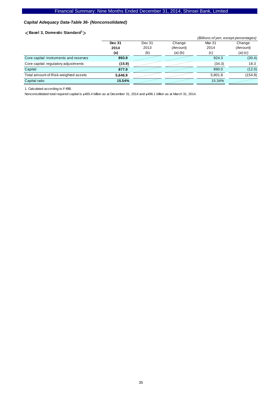## *Capital Adequacy Data-Table 36- (Nonconsolidated)*

#### <**Basel 3, Domestic Standard<sup>1</sup>** >

|                                        |               |        | (Billions of yen, except percentages) |         |           |
|----------------------------------------|---------------|--------|---------------------------------------|---------|-----------|
|                                        | <b>Dec 31</b> | Dec 31 | Change                                | Mar 31  | Change    |
|                                        | 2014          | 2013   | (Amount)                              | 2014    | (Amount)  |
|                                        | (a)           | (b)    | $(a)-(b)$                             | (c)     | $(a)-(c)$ |
| Core capital: instruments and reserves | 893.9         |        |                                       | 924.3   | (30.4)    |
| Core capital: regulatory adjustments   | (15.9)        |        |                                       | (34.3)  | 18.3      |
| Capital                                | 877.9         |        |                                       | 890.0   | (12.0)    |
| Total amount of Risk-weighted assets   | 5.646.9       |        |                                       | 5.801.8 | (154.9)   |
| Capital ratio                          | 15.54%        |        |                                       | 15.34%  |           |

1. Calculated according to F-IRB.

Nonconsolidated total required capital is  $\frac{1}{465.4}$  billion as at December 31, 2014 and  $\frac{1}{496.1}$  billion as at March 31, 2014.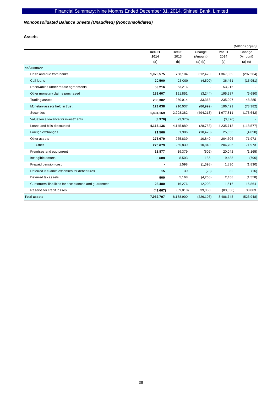## *Nonconsolidated Balance Sheets (Unaudited) (Nonconsolidated)*

**Assets** 

|                                                       |                       |                |                          |                           | (Millions of yen)  |
|-------------------------------------------------------|-----------------------|----------------|--------------------------|---------------------------|--------------------|
|                                                       | <b>Dec 31</b><br>2014 | Dec 31<br>2013 | Change<br>(Amount)       | Mar <sub>31</sub><br>2014 | Change<br>(Amount) |
|                                                       | (a)                   | (b)            | $(a)-(b)$                | (c)                       | $(a)-(c)$          |
| < <assets>&gt;</assets>                               |                       |                |                          |                           |                    |
| Cash and due from banks                               | 1,070,575             | 758,104        | 312,470                  | 1,367,839                 | (297, 264)         |
| Call loans                                            | 20,500                | 25,000         | (4,500)                  | 36,451                    | (15, 951)          |
| Receivables under resale agreements                   | 53,216                | 53,216         | $\overline{\phantom{a}}$ | 53,216                    |                    |
| Other monetary claims purchased                       | 188,607               | 191,851        | (3,244)                  | 195,287                   | (6,680)            |
| Trading assets                                        | 283,382               | 250,014        | 33,368                   | 235,097                   | 48,285             |
| Monetary assets held in trust                         | 123,038               | 210,037        | (86,999)                 | 196,421                   | (73, 382)          |
| <b>Securities</b>                                     | 1,804,169             | 2,298,382      | (494, 213)               | 1,977,811                 | (173, 642)         |
| Valuation allowance for investments                   | (3,370)               | (3,370)        | $\blacksquare$           | (3,370)                   |                    |
| Loans and bills discounted                            | 4,117,136             | 4,145,889      | (28, 753)                | 4,235,713                 | (118, 577)         |
| Foreign exchanges                                     | 21,566                | 31,986         | (10, 420)                | 25,656                    | (4,090)            |
| Other assets                                          | 276,679               | 265,839        | 10,840                   | 204,706                   | 71,973             |
| Other                                                 | 276,679               | 265,839        | 10,840                   | 204,706                   | 71,973             |
| Premises and equipment                                | 18,877                | 19,379         | (502)                    | 20,042                    | (1, 165)           |
| Intangible assets                                     | 8,688                 | 8,503          | 185                      | 9,485                     | (796)              |
| Prepaid pension cost                                  |                       | 1,598          | (1,598)                  | 1,830                     | (1,830)            |
| Deferred issuance expenses for debentures             | 15                    | 39             | (23)                     | 32                        | (16)               |
| Deferred tax assets                                   | 900                   | 5,168          | (4,268)                  | 2,458                     | (1,558)            |
| Customers' liabilities for acceptances and guarantees | 28,480                | 16,276         | 12,203                   | 11,616                    | 16,864             |
| Reserve for credit losses                             | (49,667)              | (89,018)       | 39,350                   | (83, 550)                 | 33,883             |
| <b>Total assets</b>                                   | 7,962,797             | 8,188,900      | (226, 103)               | 8,486,745                 | (523, 948)         |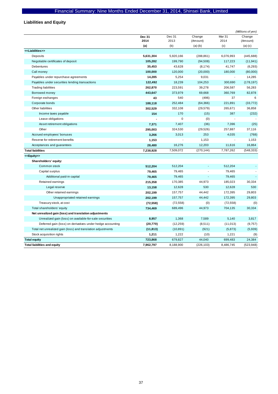# **Liabilities and Equity**

|                                                              |                |                |                    |                          | (Millions of yen)  |
|--------------------------------------------------------------|----------------|----------------|--------------------|--------------------------|--------------------|
|                                                              | Dec 31<br>2014 | Dec 31<br>2013 | Change<br>(Amount) | Mar 31<br>2014           | Change<br>(Amount) |
|                                                              | (a)            | (b)            | $(a)-(b)$          | (c)                      | $(a)-(c)$          |
| < <liabilities>&gt;</liabilities>                            |                |                |                    |                          |                    |
| Deposits                                                     | 5,631,304      | 5,920,166      | (288, 861)         | 6,076,993                | (445, 688)         |
| Negotiable certificates of deposit                           | 105,282        | 199,790        | (94, 508)          | 117,223                  | (11, 941)          |
| Debentures                                                   | 35,453         | 43,628         | (8, 174)           | 41,747                   | (6, 293)           |
| Call money                                                   | 100,000        | 120,000        | (20,000)           | 180,000                  | (80,000)           |
| Payables under repurchase agreements                         | 14,285         | 5,254          | 9,031              | $\overline{\phantom{a}}$ | 14,285             |
| Payables under securities lending transactions               | 122,492        | 18,239         | 104,253            | 300,690                  | (178, 197)         |
| <b>Trading liabilities</b>                                   | 262,870        | 223,591        | 39,278             | 206,587                  | 56,283             |
| Borrowed money                                               | 443,647        | 373,979        | 69,668             | 360,769                  | 82,878             |
| Foreign exchanges                                            | 43             | 540            | (496)              | 37                       | 6                  |
| Corporate bonds                                              | 188,118        | 252,484        | (64, 366)          | 221,891                  | (33, 772)          |
| Other liabilities                                            | 302,529        | 332,108        | (29, 579)          | 265,671                  | 36,858             |
| Income taxes payable                                         | 154            | 170            | (15)               | 387                      | (232)              |
| Lease obligations                                            |                | 0              | (0)                |                          |                    |
| Asset retirement obligations                                 | 7,371          | 7,407          | (36)               | 7,396                    | (25)               |
| Other                                                        | 295,003        | 324,530        | (29, 526)          | 257,887                  | 37,116             |
| Accrued employees' bonuses                                   | 3,266          | 3,013          | 253                | 4,035                    | (768)              |
| Reserve for retirement benefits                              | 1,153          |                | 1,153              | $\overline{a}$           | 1,153              |
| Acceptances and guarantees                                   | 28,480         | 16,276         | 12,203             | 11,616                   | 16,864             |
| <b>Total liabilities</b>                                     | 7,238,928      | 7,509,072      | (270, 144)         | 7,787,262                | (548, 333)         |
| < <equity>&gt;</equity>                                      |                |                |                    |                          |                    |
| Shareholders' equity:                                        |                |                |                    |                          |                    |
| Common stock                                                 | 512,204        | 512,204        |                    | 512,204                  |                    |
| Capital surplus                                              | 79,465         | 79,465         |                    | 79,465                   |                    |
| Additional paid-in capital                                   | 79,465         | 79,465         |                    | 79,465                   |                    |
| Retained earnings                                            | 215,358        | 170,385        | 44,973             | 185,023                  | 30,334             |
| Legal reserve                                                | 13,158         | 12,628         | 530                | 12,628                   | 530                |
| Other retained earnings                                      | 202,199        | 157,757        | 44,442             | 172,395                  | 29,803             |
| Unappropriated retained earnings                             | 202,199        | 157,757        | 44,442             | 172,395                  | 29.803             |
| Treasury stock, at cost                                      | (72, 558)      | (72, 558)      | (0)                | (72, 558)                | (0)                |
| Total shareholders' equity                                   | 734,469        | 689,496        | 44,973             | 704,135                  | 30,334             |
| Net unrealized gain (loss) and translation adjustments       |                |                |                    |                          |                    |
| Unrealized gain (loss) on available-for-sale securities      | 8,957          | 1,368          | 7,589              | 5,140                    | 3,817              |
| Deferred gain (loss) on derivatives under hedge accounting   | (20, 770)      | (12, 259)      | (8,511)            | (11, 013)                | (9,757)            |
| Total net unrealized gain (loss) and translation adjustments | (11, 813)      | (10, 891)      | (921)              | (5,873)                  | (5,939)            |
| Stock acquisition rights                                     | 1,211          | 1,222          | (10)               | 1,221                    | (9)                |
| <b>Total equity</b>                                          | 723,868        | 679,827        | 44,040             | 699.483                  | 24,384             |
| <b>Total liabilities and equity</b>                          | 7,962,797      | 8,188,900      | (226, 103)         | 8.486.745                | (523, 948)         |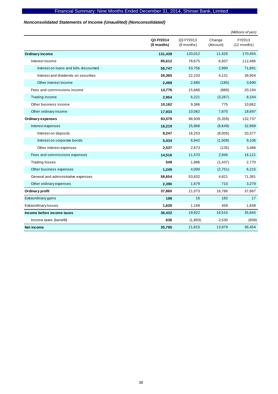## *Nonconsolidated Statements of Income (Unaudited) (Nonconsolidated)*

|                                        |                         |                         |                    | (Millions of yen)       |
|----------------------------------------|-------------------------|-------------------------|--------------------|-------------------------|
|                                        | Q3 FY2014<br>(9 months) | Q3 FY2013<br>(9 months) | Change<br>(Amount) | FY2013<br>$(12$ months) |
| <b>Ordinary income</b>                 | 131,439                 | 120,012                 | 11,426             | 170,404                 |
| Interest income                        | 85,612                  | 78,675                  | 6,937              | 112,486                 |
| Interest on loans and bills discounted | 56,747                  | 53,756                  | 2,990              | 71,891                  |
| Interest and dividends on securities   | 26,365                  | 22,233                  | 4,131              | 36,904                  |
| Other interest income                  | 2,499                   | 2,685                   | (185)              | 3,690                   |
| Fees and commissions income            | 14,776                  | 15,666                  | (889)              | 20,194                  |
| Trading income                         | 2,954                   | 6,221                   | (3,267)            | 8,164                   |
| Other business income                  | 10,162                  | 9,386                   | 775                | 10,862                  |
| Other ordinary income                  | 17,933                  | 10,062                  | 7,870              | 18,697                  |
| <b>Ordinary expenses</b>               | 93,579                  | 98,939                  | (5,359)            | 132,737                 |
| Interest expenses                      | 16,219                  | 25,868                  | (9,649)            | 32,969                  |
| Interest on deposits                   | 8,247                   | 16,253                  | (8,005)            | 20,377                  |
| Interest on corporate bonds            | 5,434                   | 6,942                   | (1,508)            | 9,106                   |
| Other interest expenses                | 2,537                   | 2,673                   | (135)              | 3,486                   |
| Fees and commissions expenses          | 14,516                  | 11,570                  | 2,946              | 16,121                  |
| <b>Trading losses</b>                  | 549                     | 1,986                   | (1, 437)           | 2,770                   |
| Other business expenses                | 1,249                   | 4,000                   | (2,751)            | 6,215                   |
| General and administrative expenses    | 58,654                  | 53,832                  | 4,821              | 71,381                  |
| Other ordinary expenses                | 2.390                   | 1,679                   | 710                | 3,279                   |
| Ordinary profit                        | 37,860                  | 21,073                  | 16,786             | 37,667                  |
| Extraordinary gains                    | 198                     | 16                      | 182                | 17                      |
| <b>Extraordinary losses</b>            | 1,626                   | 1,168                   | 458                | 1,838                   |
| Income before income taxes             | 36,432                  | 19,922                  | 16,510             | 35,845                  |
| Income taxes (benefit)                 | 636                     | (1,893)                 | 2,530              | (608)                   |
| <b>Net income</b>                      | 35,795                  | 21,815                  | 13,979             | 36,454                  |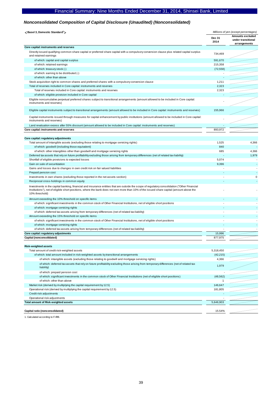## *Nonconsolidated Composition of Capital Disclosure (Unaudited) (Nonconsolidated)*

| <basel 3,="" domestic="" standard<sup="">1&gt;</basel>                                                                                                                                                                                                                                                      | Millions of yen (except percentages) |                                                               |  |
|-------------------------------------------------------------------------------------------------------------------------------------------------------------------------------------------------------------------------------------------------------------------------------------------------------------|--------------------------------------|---------------------------------------------------------------|--|
|                                                                                                                                                                                                                                                                                                             | Dec 31<br>2014                       | <b>Amounts excluded</b><br>under transitional<br>arrangements |  |
| Core capital: instruments and reserves                                                                                                                                                                                                                                                                      |                                      |                                                               |  |
| Directly issued qualifying common share capital or preferred share capital with a compulsory conversion clause plus related capital surplus<br>and retained earnings                                                                                                                                        | 734,469                              |                                                               |  |
| of which: capital and capital surplus                                                                                                                                                                                                                                                                       | 591.670                              |                                                               |  |
| of which: retained earnings                                                                                                                                                                                                                                                                                 | 215,358                              |                                                               |  |
| of which: treasury stock (-)                                                                                                                                                                                                                                                                                | (72, 558)                            |                                                               |  |
| of which: earning to be distributed (-)                                                                                                                                                                                                                                                                     |                                      |                                                               |  |
| of which: other than above                                                                                                                                                                                                                                                                                  |                                      |                                                               |  |
| Stock acquisition right to common shares and preferred shares with a compulsory conversion clause                                                                                                                                                                                                           | 1,211                                |                                                               |  |
| Total of reserves included in Core capital: instruments and reserves                                                                                                                                                                                                                                        | 2,323                                |                                                               |  |
| Total of reserves included in Core capital: instruments and reserves                                                                                                                                                                                                                                        | 2,323                                |                                                               |  |
| of which: eligible provision included in Core capital                                                                                                                                                                                                                                                       |                                      |                                                               |  |
| Eligible noncumulative perpetual preferred shares subject to transitional arrangements (amount allowed to be included in Core capital:<br>instruments and reserves)                                                                                                                                         |                                      |                                                               |  |
| Eligible capital instruments subject to transitional arrangements (amount allowed to be included in Core capital: instruments and reserves)                                                                                                                                                                 | 155,966                              |                                                               |  |
| Capital instruments issued through measures for capital enhancement by public institutions (amount allowed to be included in Core capital:<br>instruments and reserves)                                                                                                                                     |                                      |                                                               |  |
| Land revaluation excess after 55% discount (amount allowed to be included in Core capital: instruments and reserves)                                                                                                                                                                                        |                                      |                                                               |  |
| Core capital: instruments and reserves                                                                                                                                                                                                                                                                      | 893.972                              |                                                               |  |
|                                                                                                                                                                                                                                                                                                             |                                      |                                                               |  |
| Core capital: regulatory adjustments                                                                                                                                                                                                                                                                        |                                      |                                                               |  |
| Total amount of intangible assets (excluding those relating to mortgage servicing rights)                                                                                                                                                                                                                   | 1,525                                | 4,366                                                         |  |
| of which: goodwill (including those equivalent)                                                                                                                                                                                                                                                             | 840                                  |                                                               |  |
| of which: other intangibles other than goodwill and mortgage servicing rights                                                                                                                                                                                                                               | 685                                  | 4,366                                                         |  |
| Deferred tax assets that rely on future profitability excluding those arising from temporary differences (net of related tax liability)                                                                                                                                                                     |                                      | 1,979                                                         |  |
| Shortfall of eligible provisions to expected losses                                                                                                                                                                                                                                                         | 5,074                                |                                                               |  |
| Gain on sale of securitization                                                                                                                                                                                                                                                                              | 9,396                                |                                                               |  |
| Gains and losses due to changes in own credit risk on fair valued liabilities                                                                                                                                                                                                                               |                                      |                                                               |  |
| Prepaid pension cost<br>Investments in own shares (excluding those reported in the net assets section)                                                                                                                                                                                                      |                                      | 0                                                             |  |
| Reciprocal cross-holdings in common equity                                                                                                                                                                                                                                                                  |                                      |                                                               |  |
| Investments in the capital banking, financial and insurance entities that are outside the scope of regulatory consolidation ("Other Financial<br>Institutions"), net of eligible short positions, where the bank does not own more than 10% of the issued share capital (amount above the<br>10% threshold) |                                      |                                                               |  |
| Amount exceeding the 10% threshold on specific items                                                                                                                                                                                                                                                        |                                      |                                                               |  |
| of which: significant investments in the common stock of Other Financial Institutions, net of eligible short positions                                                                                                                                                                                      |                                      |                                                               |  |
| of which: mortgage servicing rights                                                                                                                                                                                                                                                                         |                                      |                                                               |  |
| of which: deferred tax assets arising from temporary differences (net of related tax liability)                                                                                                                                                                                                             |                                      |                                                               |  |
| Amount exceeding the 15% threshold on specific items                                                                                                                                                                                                                                                        |                                      |                                                               |  |
| of which: significant investments in the common stock of Other Financial Institutions, net of eligible short positions                                                                                                                                                                                      | $\overline{\phantom{a}}$             |                                                               |  |
| of which: mortgage servicing rights                                                                                                                                                                                                                                                                         |                                      |                                                               |  |
| of which: deferred tax assets arising from temporary differences (net of related tax liability)                                                                                                                                                                                                             |                                      | $\sim$                                                        |  |
| Core capital: regulatory adjustments                                                                                                                                                                                                                                                                        | 15,996                               |                                                               |  |
| Capital (nonconsolidated)                                                                                                                                                                                                                                                                                   | 877,975                              |                                                               |  |
|                                                                                                                                                                                                                                                                                                             |                                      |                                                               |  |
| <b>Risk-weighted assets</b>                                                                                                                                                                                                                                                                                 |                                      |                                                               |  |
| Total amount of credit risk-weighted assets                                                                                                                                                                                                                                                                 | 5,318,450                            |                                                               |  |
| of which: total amount included in risk-weighted assets by transitional arrangements                                                                                                                                                                                                                        | (42, 215)                            |                                                               |  |
| of which: intangible assets (excluding those relating to goodwill and mortgage servicing rights)                                                                                                                                                                                                            | 4,366                                |                                                               |  |
| of which: deferred tax assets that rely on future profitability excluding those arising from temporary differences (net of related tax<br>liability)                                                                                                                                                        | 1,979                                |                                                               |  |
| of which: prepaid pension cost                                                                                                                                                                                                                                                                              |                                      |                                                               |  |
| of which: significant investments in the common stock of Other Financial Institutions (net of eligible short positions)                                                                                                                                                                                     | (48, 562)                            |                                                               |  |
| of which: other than above                                                                                                                                                                                                                                                                                  | $\mathbf{1}$                         |                                                               |  |
| Market risk (derived by multiplying the capital requirement by 12.5)                                                                                                                                                                                                                                        | 146,647                              |                                                               |  |
| Operational risk (derived by multiplying the capital requirement by 12.5)                                                                                                                                                                                                                                   | 181,805                              |                                                               |  |
| Credit risk adjustments<br>Operational risk adjustments                                                                                                                                                                                                                                                     |                                      |                                                               |  |
| <b>Total amount of Risk-weighted assets</b>                                                                                                                                                                                                                                                                 | 5,646,903                            |                                                               |  |
|                                                                                                                                                                                                                                                                                                             |                                      |                                                               |  |
| Capital ratio (nonconsolidated)                                                                                                                                                                                                                                                                             | 15.54%                               |                                                               |  |

1. Calculated according to F-IRB.